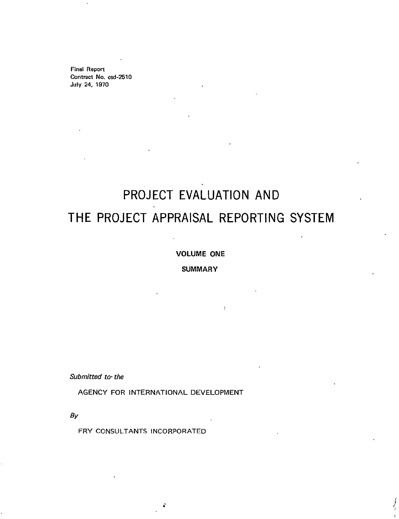Final Report Contract No. csd-2510 July 24, **1970** 

# **PROJECT EVALUATION AND**  THE **PROJECT** APPRAISAL REPORTING SYSTEM

#### **VOLUME ONE**

#### SUMMARY

Submitted to the

**AGENCY** FOR **INTERNATIONAL DEVELOPMENT** 

**By** 

FRY **CONSULTANTS** INCORPORATED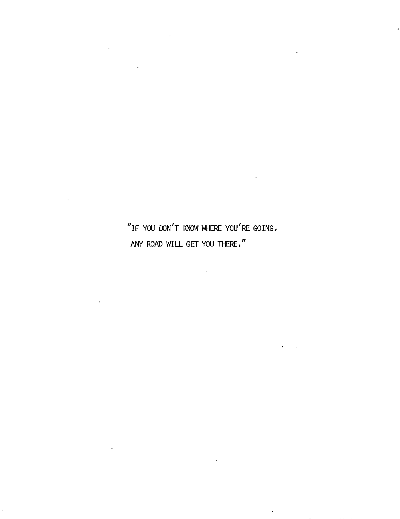"IF**YOU DON'T** KNOW WHERE **YOU'RE** GOING, **ANY** ROAD WILL GET **YOU** THERE,"

 $\sim$ 

 $\sim 10$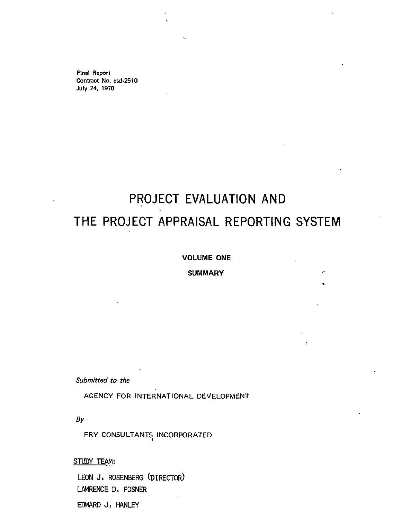Final Report Contract No. csd-2510 July 24, **1970** 

# **PROJECT EVALUATION AND THE PROJECT APPRAISAL REPORTING SYSTEM**

#### **VOLUME ONE**

#### **SUMMARY**

Submitted to the

**AGENCY** FOR **INTERNATIONAL DEVELOPMENT** 

**By** 

FRY CONSULTANTS<sub>,</sub> INCORPORATED

**STUDY TEAM:** 

**LEON J.** ROSENBERG (DIRECTOR) LAWRENCE **D,** POSNER EDWARD **J. HANLEY**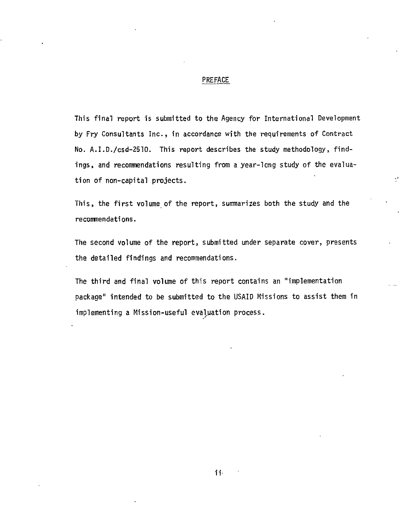#### PREFACE

This final report is submitted to the Agency for International Development **by** Fry Consultants Inc., in accordance with the requirements of Contract No. A.I.D./csd-2510. This report describes the study methodology, findings, and recommendations resulting from a year-long study of the evaluation of non-capital projects.

This, the first volume of the report, summarizes both the study and the recommendations.

The second volume of the report, submitted under separate cover, presents the detailed findings and recommendations.

The third and final volume of this report contains an "implementation package" intended to be submitted to the USAID Missions to assist them in implementing a Mission-useful evaluation process.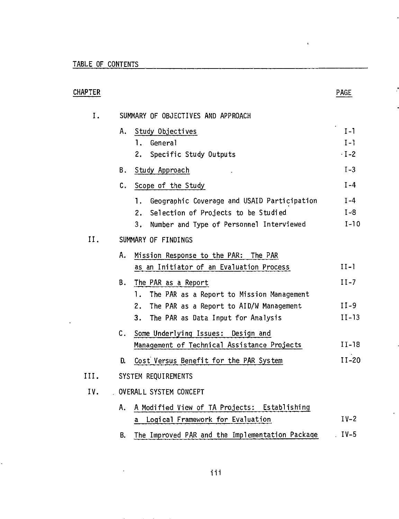$\sim$ 

 $\sim 10^{11}$ 

Ċ,

| CHAPTER |                                                       | <b>PAGE</b>      |
|---------|-------------------------------------------------------|------------------|
| I.      | SUMMARY OF OBJECTIVES AND APPROACH                    |                  |
|         | Study Objectives<br>A.,<br>1.<br>General              | $I-1$<br>$I - 1$ |
|         | Specific Study Outputs<br>2.                          | $-I-2$           |
|         | B.<br>Study Approach                                  | $I-3$            |
|         | $\mathfrak{c}.$<br>Scope of the Study                 | $I - 4$          |
|         | Geographic Coverage and USAID Participation<br>1.     | $I-4$            |
|         | Selection of Projects to be Studied<br>2.             | $I-8$            |
|         | Number and Type of Personnel Interviewed<br>3.        | $I-10$           |
| II.     | SUMMARY OF FINDINGS                                   |                  |
|         | Mission Response to the PAR: The PAR<br>Α.            |                  |
|         | as an Initiator of an Evaluation Process              | $II-I$           |
|         | Β.<br>The PAR as a Report                             | $II - 7$         |
|         | The PAR as a Report to Mission Management<br>1.       |                  |
|         | The PAR as a Report to AID/W Management<br>2.         | $II-9$           |
|         | The PAR as Data Input for Analysis<br>3.              | $II-13$          |
|         | Some Underlying Issues: Design and<br>$\mathsf{C}$ .  |                  |
|         | Management of Technical Assistance Projects           | $II-18$          |
|         | Cost Versus Benefit for the PAR System<br>D.          | $II-20$          |
| III.    | SYSTEM REQUIREMENTS                                   |                  |
| IV.     | OVERALL SYSTEM CONCEPT                                |                  |
|         | A Modified View of TA Projects: Establishing<br>Α.    |                  |
|         | Logical Framework for Evaluation<br>$\mathsf{a}$      | $IV-2$           |
|         | The Improved PAR and the Implementation Package<br>В. | $IV-5$           |

 $\sim$  0.

 $\mathcal{I}$ 

j

 $\hat{\mathcal{A}}$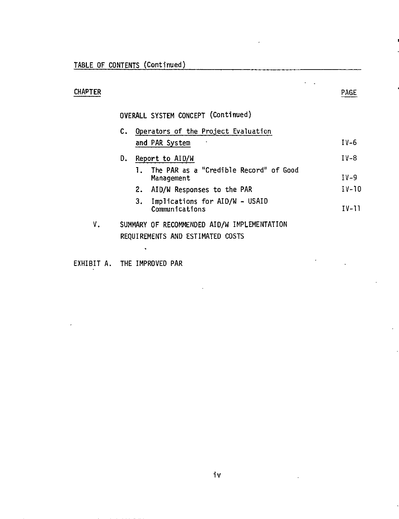# **CHAPTER**

 $\ddot{\phantom{a}}$ J.

 $\ddot{\phantom{1}}$ 

# OVERALL SYSTEM **CONCEPT** (Continued)

|    | c. | Operators of the Project Evaluation                    |         |
|----|----|--------------------------------------------------------|---------|
|    |    | and PAR System                                         | $IV-6$  |
|    | D. | Report to AID/W                                        | $IV-8$  |
|    |    | The PAR as a "Credible Record" of Good<br>Management   | $IV-9$  |
|    |    | 2. AID/W Responses to the PAR                          | $IV-10$ |
|    |    | Implications for AID/W - USAID<br>з.<br>Communications | $IV-11$ |
| ٧. |    | SUMMARY OF RECOMMENDED AID/W IMPLEMENTATION            |         |
|    |    | REQUIREMENTS AND ESTIMATED COSTS                       |         |
|    |    |                                                        |         |

EXHIBIT **A.** THE IMPROVED PAR

iv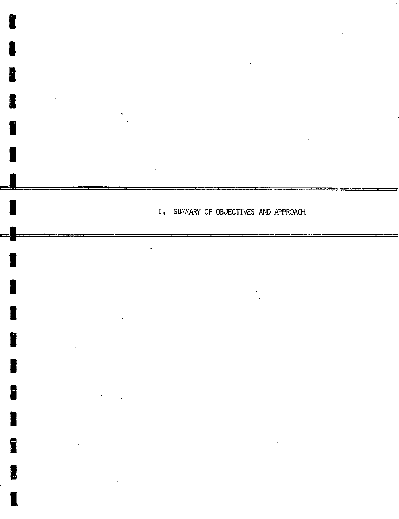I. SUMMARY OF OBJECTIVES AND APPROACH

**I** 

Į.

I

u<br>O

I

I

**IU** 

**u** 

I

I

**I**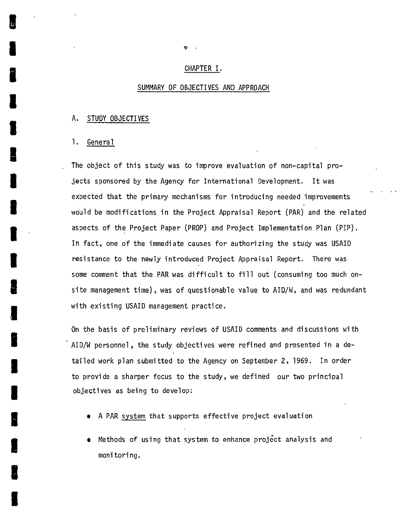#### CHAPTER I.

#### SUMMARY OF OBJECTIVES **AND** APPROACH

#### **A. STUDY** OBJECTIVES

#### **1.** General

The object of this study was to improve evaluation of non-capital projects sponsored **by** the Agency for International Development. Itwas expected that the primary mechanisms for introducing needed improvements would be modifications in the Project Appraisal Report (PAR) and the related aspects of the Project Paper (PROP) and Project Implementation Plan (PIP). In fact, one of the immediate causes for authorizing the study was USAID resistance to the newly introduced Project Appraisal Report. There was some comment that the PAR was difficult to fill out (consuming too much onsite management time), was of questionable value to AID/W, and was redundant with existing USAID management practice.

On the basis of preliminary reviews of USAID comments and discussions with AID/W personnel, the study objectives were refined and presented in a detailed work plan submitted to the Agency on September 2, **1969.** In order to provide a sharper focus to the study, we defined our two principal objectives as being to develop:

- A PAR system that supports effective project evaluation
- Methods of using that system to enhance project analysis and monitoring.

 $\bullet$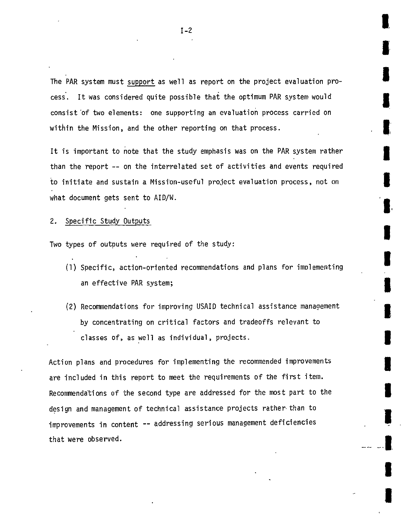The PAR system must support as well as report on the project evaluation process. Itwas considered quite possible that the optimum PAR system would consist 'of two elements: one supporting an evaluation process carried on within the Mission, and the other reporting on that process.

**I** 

**I** 

**I** 

I

**U** 

**I** 

**I** 

**I** 

**I** 

**U** 

**I** 

**l3** 

It is important to note that the study emphasis was on the PAR system rather than the report **--** on the interrelated set of activities and events required to initiate and sustain a Mission-useful project evaluation process, not on what document gets sent to AID/W.

#### 2. Specific Study Outputs

Two types of outputs were required of the study:

- **(1)**Specific, action-oriented recommendations and plans for implementing an effective PAR system;
- (2)Recommendations for improving USAID technical assistance management **by** concentrating on critical factors and tradeoffs relevant to classes of, as well as individual, projects.

Action plans and procedures for implementing the recommended improvements are included in this report to meet the requirements of the first item. Recommendations of the second type are addressed for the most part to the design and management of technical assistance projects rather-than to improvements in content **--** addressing serious management deficiencies that were observed.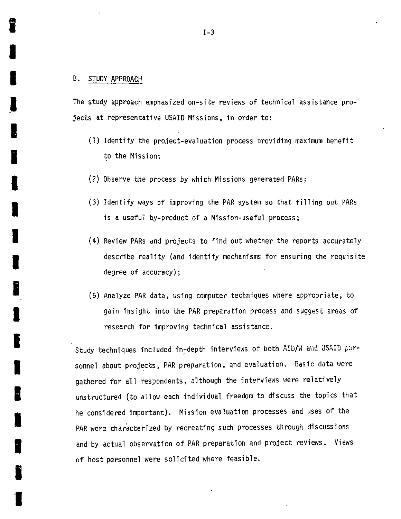#### B. **STUDY** APPROACH

The study approach emphasized on-site reviews of technical assistance projects at representative **USAID** Missions, inorder to:

- **(1)**Identify the project-evaluation process providing maximum benefit to the Mission;
- (2)Observe the process **by** which Missions generated PARs;
- **(3)**Identify ways of improving the PAR system so that filling out PARs is a useful by-product of a Mission-useful process;
- (4) Review PARs and projects to find out whether the reports accurately describe reality (and identify mechanisms for ensuring the requisite degree of accuracy);
- **(5)**Analyze PAR data, using computer techniques where appropriate, to gain insight into the PAR preparation process and suggest areas of research for improving technical assistance.

Study techniques included in-depth interviews of both AID/W and USAID parsonnel about projects, PAR preparation, and evaluation. Basic data were gathered for all respondents, although the interviews were relatively unstructured (to allow each individual freedom to discuss the topics that he considered important). Mission evaluation processes and uses of the PAR were characterized **by** recreating such processes through discussions and **by** actual observation of PAR preparation and project reviews. Views of host personnel were solicited where feasible.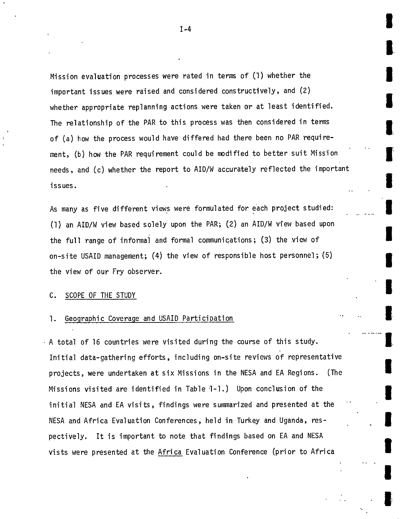Mission evaluation processes were rated in terms of (1) whether the important issues were raised and considered constructively, and (2) whether appropriate replanning actions were taken or at least identified. The relationship of the PAR to this process was then considered in terms of (a) how the process would have differed had there been no PAR requirement, (b) how the PAR requirement could be modified to better suit Mission needs, and (c) whether the report to AID/W accurately reflected the important **intervals** 

As many as five different views were formulated for each project studied: **(1)** an AID/W view based solely upon the PAR; (2) an AID/W view based upon **I** the full range of informal and formal communications; **(3)**the view of on-site USAID management; (4) the view of responsible host personnel; (5) the view of our Fry observer.

# **I C. SCOPE** OF THE **STUDY**

#### 1. Geographic Coverage and **USAID** Participation

**A** total of **16** countries were visited during the course of this study. Initial data-gathering efforts, including on-site reviews of representative projects, were undertaken at six Missions in the **NESA** and **EA** Regions. (The Missions visited are identified in Table **1-1.)** Upon conclusion of the initial **NESA** and **EA** visits, findings were summarized and presented at the **NESA** and Africa Evaluation Conferences, held in Turkey and Uganda, respectively. It is important to note that findings based on **EA** and **NESA** vists were presented at the Africa Evaluation Conference (prior to Africa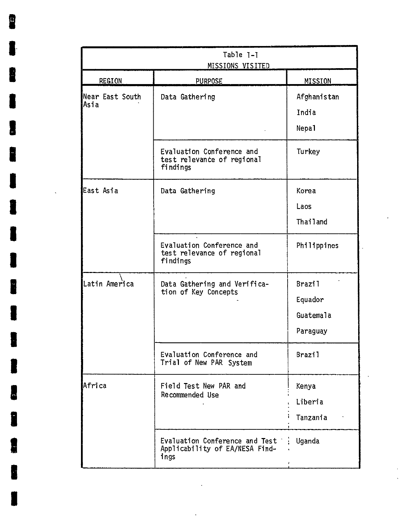| <b>REGION</b>           | MISSIONS VISITED<br><b>PURPOSE</b>                                       | MISSION                                           |
|-------------------------|--------------------------------------------------------------------------|---------------------------------------------------|
| Near East South<br>Asia | Data Gathering                                                           | Afghanistan<br>India<br>Nepal                     |
|                         | Evaluation Conference and<br>test relevance of regional<br>findings      | Turkey                                            |
| East Asia               | Data Gathering                                                           | Korea<br>Laos<br>Thailand                         |
|                         | Evaluation Conference and<br>test relevance of regional<br>findings      | Philippines                                       |
| Latin America           | Data Gathering and Verifica-<br>tion of Key Concepts                     | <b>Brazil</b><br>Equador<br>Guatemala<br>Paraguay |
|                         | Evaluation Conference and<br>Trial of New PAR System                     | <b>Brazil</b>                                     |
| Africa                  | Field Test New PAR and<br>Recommended Use                                | Kenya<br>Liberia<br>Tanzania                      |
|                         | Evaluation Conference and Test<br>Applicability of EA/NESA Find-<br>ings | Uganda                                            |

 $\overline{\phantom{a}}$ 

í,

 $\ddot{\phantom{0}}$ 

8

£

Г

L

f

I

I

J

1

t

 $\hat{\mathcal{S}}$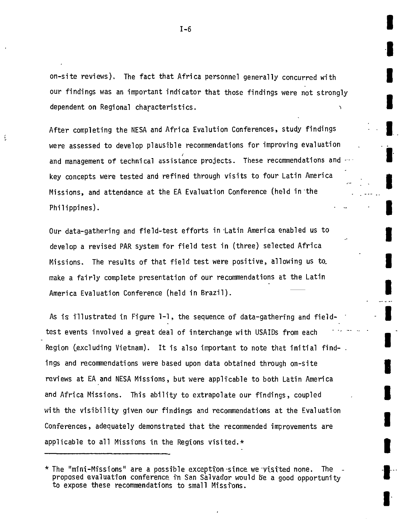on-site reviews). The fact that Africa personnel generally concurred with our findings was an important indicator that those findings were not strongly dependent on Regional characteristics.

After completing the NESA and Africa Evalution Conferences, study findings were assessed to develop plausible recommendations for improving evaluation **I**  and management of technical assistance projects. These recommendations and  $\cdot$ key concepts were tested and refined through visits to four Latin America Missions, and attendance at the **EA** Evaluation Conference (held in-the Philippines).

Our data-gathering and field-test efforts in Latin America enabled us to develop a revised PAR system for field test in (three) selected Africa Missions. The results of that field test were positive, allowing us to **I**  make a fairly complete presentation of our recommendations at the Latin **I**  America Evaluation Conference (held in Brazil).

As is illustrated in Figure **1-1,** the sequence of data-gathering and field- **I**  test events involved a great deal of interchange with USAIDs from each **I** Region (excluding Vietnam). It is also important to note that initial findings and recommendations were based upon data obtained through on-site **I**  reviews at **EA** and **NESA** Missions, but were applicable to both Latin America and Africa Missions. This ability to extrapolate our findings, coupled **I**  with the visibility given our findings and recommendations at the Evaluation Conferences, adequately demonstrated that the recommended improvements are **I** applicable to all Missions in the Regions visited. $\star$ **I I**  $\mathbf{I}$ 

**U** 

<sup>\*</sup> The "mini-Missions" are a possible exception since we Vistted none. The proposed evaluation conference it San Salvador would be a good opportunity **I**  proposed evaluation conference in San Salvador would be a good opportunity to expose these recommendations to small Missions.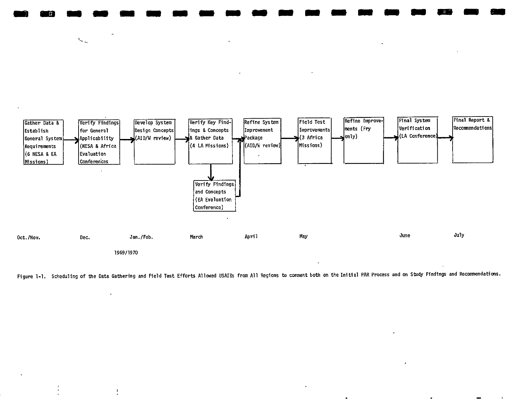

**M m a M aMM a a a a M a WM M** 

 $\mathcal{N}_{\mathcal{A}_{\mathcal{A}}}$ 

 $\mathfrak{f}$ 

Figure **1-1.** Scheduling of the Data Gathering and Field Test Efforts Allowed USAIDs from **All** Regions to comment both on the Initial PAR Process and on Study Findings and Recommendations.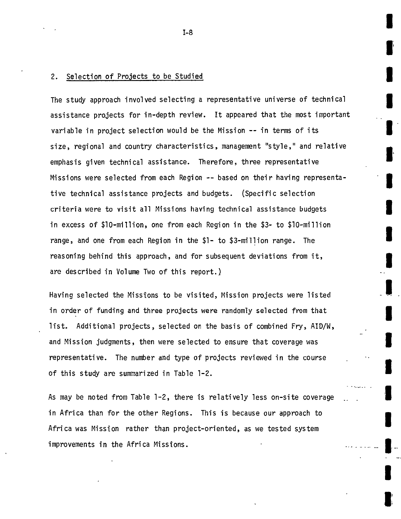#### 2. Selection of Projects to be Studied

The study approach involved selecting a representative universe of technical assistance projects for in-depth review. Itappeared that the most important variable in project selection would be the Mission **--** in terms of its size, regional and country characteristics, management "style," and relative emphasis given technical assistance. Therefore, three representative Missions were selected from each Region **--** based on their having representative technical assistance projects and budgets. (Specific selection criteria were to visit all Missions having technical assistance budgets inexcess of \$10-million, one from each Region in the **\$3-**to \$10-million range, and one from each Region in the **\$1-** to \$3-million range. The reasoning behind this approach, and for subsequent deviations from it, are described in Volume Two of this report.)

**I** 

**U** 

**I** 

**I** 

**U** 

**I** 

**I** 

**'3** 

**3** 

**U** 

**I** 

-

Having selected the Missions to be visited, Mission projects were listed in order of funding and three projects were randomly selected from that list. Additional projects, selected on the basis of combined Fry, AID/W, and Mission judgments, then were selected to ensure that coverage was representative. The number and type of projects reviewed in the course of this study are summarized in Table 1-2.

As may be noted from Table 1-2, there is relatively less on-site coverage in Africa than for the other Regions. This is because our approach to Africa was Mission rather than project-oriented, as we tested system improvements in the Africa Missions.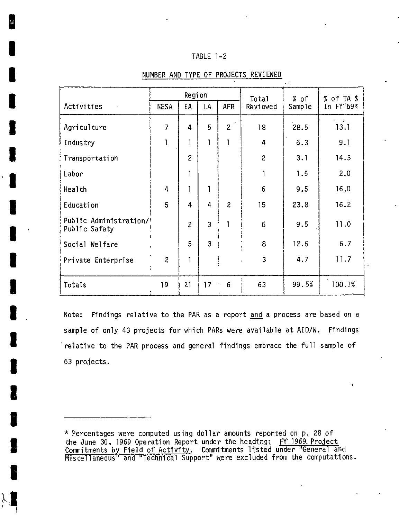#### TABLE 1-2

|                                         | Region         |                |                | Total          | % of           | % of TA \$ |                            |
|-----------------------------------------|----------------|----------------|----------------|----------------|----------------|------------|----------------------------|
| Activities                              | <b>NESA</b>    | EA             | LA             | <b>AFR</b>     | Reviewed       | Sample     | In FY'69*                  |
| Agriculture                             | $\overline{7}$ | 4              | 5              | $\overline{2}$ | 18             | 28.5       | $\epsilon = \pm 1$<br>13.1 |
| Industry                                |                | 1              | 1              |                | $\overline{4}$ | 6.3        | 9.1                        |
| Transportation                          |                | $\overline{c}$ |                |                | $\overline{c}$ | 3.1        | 14.3                       |
| Labor                                   |                | ı              |                |                |                | 1.5        | 2.0                        |
| Health                                  | $\overline{4}$ | $\mathbf{1}$   | 1              |                | $6\phantom{1}$ | 9.5        | 16.0                       |
| Education                               | 5              | 4              | 4              | $\overline{c}$ | 15             | 23.8       | 16.2                       |
| Public Administration/<br>Public Safety |                | $\overline{2}$ | $\overline{3}$ |                | 6              | 9.5        | 11.0                       |
| Social Welfare                          |                | 5              | 3              |                | 8              | 12.6       | 6.7                        |
| Private Enterprise                      | $\overline{c}$ | ٦              |                |                | 3              | 4.7        | 11.7                       |
| Totals                                  | 19             | 21             | 17             | 6              | 63             | 99.5%      | 100.1%                     |

#### **NUMBER AND** TYPE OF **PROJECTS** REVIEWED

Note: Findings relative to the PAR as a report and a process are based on a sample of only 43 projects for which PARs were available at AID/W. Findings relative to the PAR process and general findings embrace the full sample of **63** projects.

**<sup>\*</sup>** Percentages were computed using dollar amounts reported on **p. 28** of the June **30, 1969** Operation Report under the heading: FW **1969** Project Commitments by Field of Activity. Commitments listed under "General and Miscellaneous" and "Technical Support" were excluded from the computations.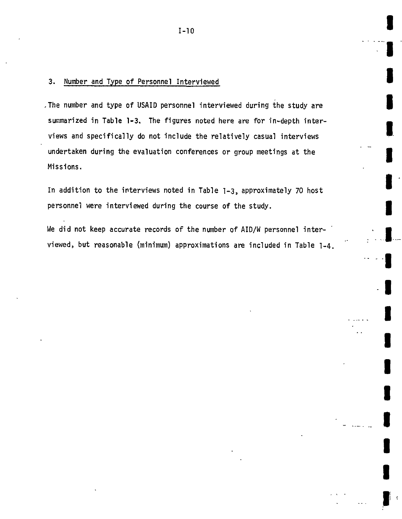#### **3.** Number and Type of Personnel Interviewed

,The number and type of USAID personnel interviewed during the study are **3** summarized inTable **1-3.** The figures noted here are for in-depth inter views and specifically do not include the relatively casual interviews **I** undertaken during the evaluation conferences or group meetings at the **I** Missions.

In addition to the interviews noted inTable **1-3,** approximately **70** host personnel were interviewed during the course of the study.

We did not keep accurate records of the number of AID/W personnel interviewed, but reasonable (minimum) approximations are included inTable 1-4. **I** 

**I** 

u<br>I

**I** 

**I** 

**I** 

**I** 

**I**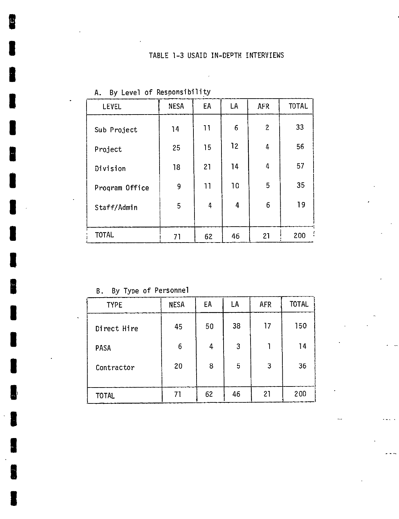$\mathcal{A}$ 

| <b>LEVEL</b>   | <b>NESA</b> | EA | LA | <b>AFR</b>     | <b>TOTAL</b>   |
|----------------|-------------|----|----|----------------|----------------|
| Sub Project    | 14          | 11 | 6  | $\overline{2}$ | 33             |
| Project        | 25          | 15 | 12 | 4              | 56             |
| Division       | 18          | 21 | 14 | 4              | 57             |
| Program Office | 9           | 11 | 10 | 5              | 35             |
| Staff/Admin    | 5           | 4  | 4  | 6              | 19             |
|                |             |    |    |                |                |
| <b>TOTAL</b>   | 71          | 62 | 46 | 21             | $\cdot$<br>200 |

|  |  |  |  | A. By Level of Responsibility |  |
|--|--|--|--|-------------------------------|--|
|--|--|--|--|-------------------------------|--|

B. **By** Tyoe of Personnel

| <b>TYPE</b>  | <b>NESA</b> | EA | LA | <b>AFR</b> | <b>TOTAL</b> |
|--------------|-------------|----|----|------------|--------------|
| Direct Hire  | 45          | 50 | 38 | 17         | 150          |
| <b>PASA</b>  | 6           | 4  | 3  |            | 14           |
| Contractor   | 20          | 8  | 5  | 3          | 36           |
| <b>TOTAL</b> | 71          | 62 | 46 | 21         | 200          |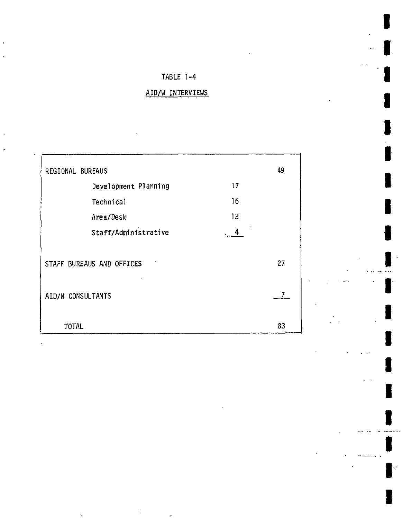## TABLE 1-4

**I** 

**I** 

**U** 

**I** 

I

I

I

I

## AID/W INTERVIEWS

| REGIONAL BUREAUS          |    |    |  |  |  |  |
|---------------------------|----|----|--|--|--|--|
| Development Planning      | 17 |    |  |  |  |  |
| Technical                 | 16 |    |  |  |  |  |
| Area/Desk                 | 12 |    |  |  |  |  |
| Staff/Administrative      | 4  |    |  |  |  |  |
| STAFF BUREAUS AND OFFICES |    | 27 |  |  |  |  |
| AID/W CONSULTANTS         |    | 7. |  |  |  |  |
| <b>TOTAL</b>              |    | 83 |  |  |  |  |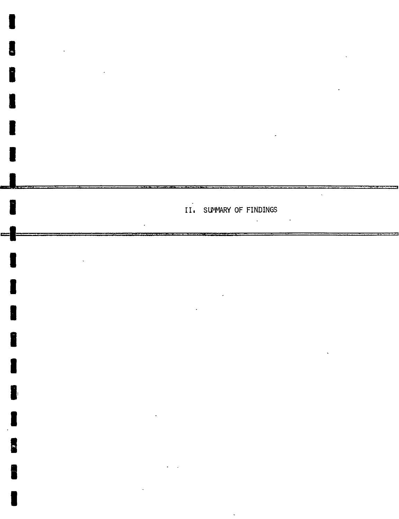

**I** 

 $\overline{\phantom{a}}$ 

 $\mathbf{r}$ 

**I** 

u<br>C

**I** 

**I,** 

**I** 

I

I

I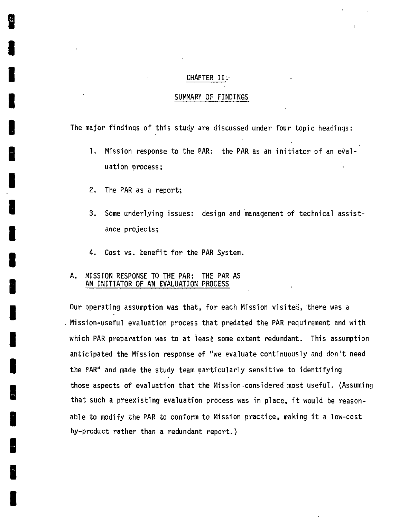#### CHAPTER II.

#### SUMMARY OF FINDINGS

The major findinqs of this study are discussed under four topic headings:

- **1.** Mission response to the PAR: the PAR as an initiator of an evaluation process;
- 2. The PAR as a report;
- **3.** Some underlying issues: design and management of technical assistance projects;
- 4. Cost vs. benefit for the PAR System.

#### **A.** MISSION **RESPONSE** TO THE PAR: THE PAR **AS AN** INITIATOR OF **AN EVALUATION PROCESS**

Our operating assumption was that, for each Mission visited, there was a Mission-useful evaluation process that predated the PAR requirement and with which PAR preparation was to at least some extent redundant. This assumption anticipated the Mission response of "we evaluate continuously and don't need the PAR" and made the study team particularly sensitive to identifying those aspects of evaluation that the Mission-considered most useful. (Assuming that such a preexisting evaluation process was in place, it would be reasonable to modify the PAR to conform to Mission practice, making it a low-cost by-product rather than a redundant report.)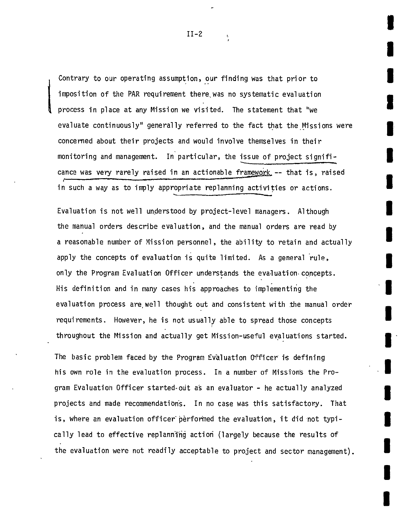Contrary to our operating assumption, our finding was that prior to imposition of the PAR requirement there was no systematic evaluation process in place at any Mission we visited. The statement that "we evaluate continuously" generally referred to the fact that the Missions were concerned about their projects and would involve themselves in their monitoring and management. In particular, the issue of project significance was very rarely raised in an actionable framework -- that is, raised in such a way as to imply appropriate replanning activities or actions.

Evaluation is not well understood **by** project-level managers. Although the manual orders describe evaluation, and the manual orders are read **by**  a reasonable number of Mission personnel, the ability to retain and actually apply the concepts of evaluation is quite limited. As a general rule, only the Program Evaluation Officer understands the evaluation- concepts. His definition and in many cases his approaches to implementing the evaluation process are well thought out and consistent with the manual order requirements. However, he is not usually able to spread those concepts throughout the Mission and actually get Mission-useful evaluations started.

The basic problem faced **by** the Program Evaluation Officer is defining his own role in the evaluation process. In a number of Missions the Program Evaluation Officer started-out as an evaluator **-** he actually analyzed projects and made recommendations. In no case was this satisfactory. That is, where an evaluation officer performed the evaluation, it did not typically lead to effective replannifig action (largely because the results of the evaluation were not readily acceptable to project and sector management).

**I** 

**I**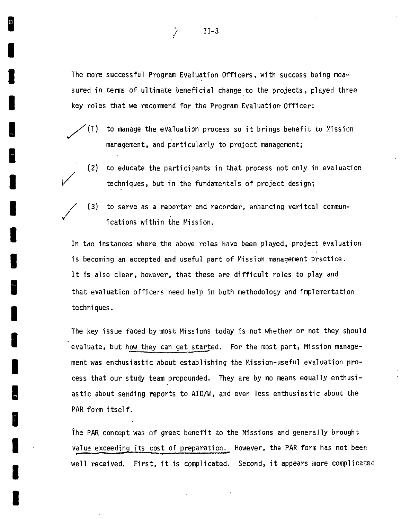The more successful Program Evaluation Officers, with success being measured in terms of ultimate beneficial change to the projects, played three key roles that we recommend for the Program Evaluation-Officer:

- **(1)** to manage the evaluation process so it brings benefit to Mission management, and particularly to project management;
	- (2) to educate the participants in that process not only in evaluation techniques, but in the fundamentals of project design;
	- **(3)**  to serve as a reporter and recorder, enhancing veritcal communications within the Mission.

In two instances where the above roles have been played, project evaluation is becoming an accepted and useful part of Mission management practice. It is also clear, however, that these are difficult roles to play and that evaluation officers need help in both methodology and implementation techniques.

The key issue faced by most Missions today is not whether or not they should evaluate, but how they can get started. For the most part, Mission management was enthusiastic about establishing the Mission-useful evaluation process that our study team propounded. They are **by** no means equally enthusiastic about sending reports to AID/W, and even less enthusiastic about the PAR form itself.

The PAR concept was of great benefit to the Missions and generally brought value exceeding its cost of preparation. However, the PAR form has not been well received. First, it is complicated. Second, it appears more complicated

11-3

 $\mathcal{J}$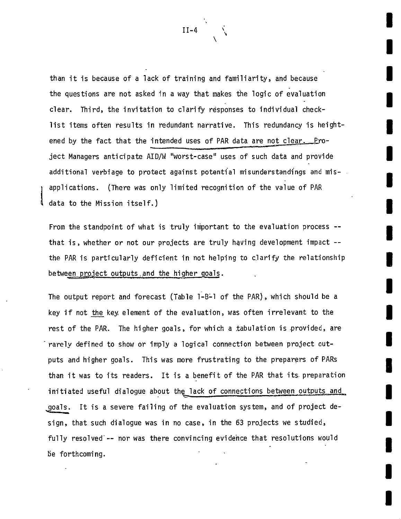than it is because of a lack of training and familiarity, and because the questions are not asked in a way that makes the logic of evaluation clear. Third, the invitation to clarify responses to individual checklist items often results in redundant narrative. This redundancy is heightened by the fact that the intended uses of PAR data are not clear. Project Managers anticipate AID/W "worst-case" uses of such data and provide additional verbiage to protect against potential misunderstandings and misapplications. (There was only limited recognition of the value of PAR

From the standpoint of what is truly important to the evaluation process -that is, whether or not our projects are truly having development impact -the PAR is particularly deficient in not helping to clarify the relationship between project outputs and the higher goals.

data to the Mission itself.)

The output report and forecast (Table 1-B-1 of the PAR), which should be a key if not the key element of the evaluation, was often irrelevant to the rest of the PAR. The higher goals, for which a tabulation is provided, are rarely defined to show or imply a logical connection between project outputs and higher goals. This was more frustrating to the preparers of PARs than it was to its readers. It is a benefit of the PAR that its.preparation initiated useful dialogue about the lack of connections between outputs and goals. It is a severe failing of the evaluation system, and of project design, that such dialogue was in no case, in the **63** projects we studied, fully resolved -- nor was there convincing evidence that resolutions would be forthcoming.

 $II-4$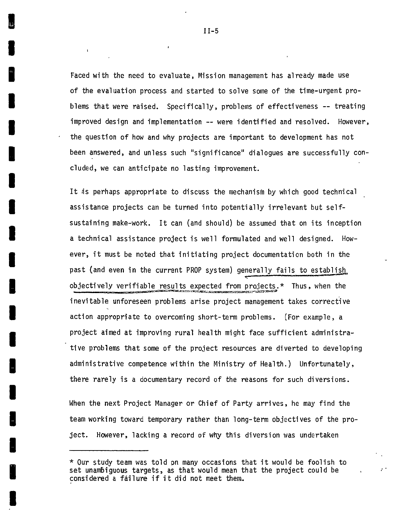Faced with the need to evaluate, Mission management has already made use of the evaluation process and started to solve some of the time-urgent problems that were raised. Specifically, problems of effectiveness **--** treating improved design and implementation **--** were identified and resolved. However, the question of how and why projects are important to development has not been answered, and unless such "significance" dialogues are successfully concluded, we can anticipate no lasting improvement.

It is perhaps appropriate to discuss the mechanism **by** which good technical assistance projects can be turned into potentially irrelevant but selfsustaining make-work. It can (and should) be assumed that on its inception a technical assistance project iswell formulated and well designed. However, it must be noted that initiating project documentation both in the past (and even in the current PROP system) generally fails to establish objectively verifiable results expected from projects.\* Thus, when the inevitable unforeseen problems arise project management takes corrective action appropriate to overcoming short-term problems. (For example, a project aimed at improving rural health might face sufficient administrative problems that some of the project resources are diverted to developing administrative competence within the Ministry of Health.) Unfortunately, there rarely is a documentary record of the reasons for such diversions.

When the next Project Manager or Chief of Party arrives, he may find the team working toward temporary rather than long-term objectives of the project. However, lacking a record of why this diversion was undertaken

**<sup>\*</sup>** Our study team was told on many occasions that it would be foolish to set unambiguous targets, as that would mean that the project could be considered a failure if it did not meet them.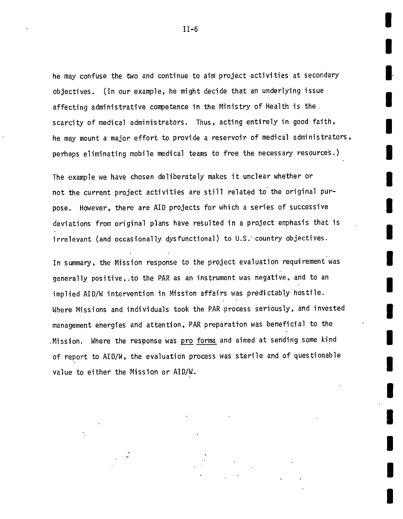he may confuse the two and continue to aim project activities at secondary objectives. (In our example, he might decide that an underlying issue affecting administrative competence in the Ministry of Health is the. scarcity of medical administrators. Thus, acting entirely in good faith, he may mount a major effort to provide a reservoir of medical administrators, perhaps eliminating mobile medical teams to free the necessary resources.)

I

The example we have chosen deliberately makes it unclear whether or not the current project activities are still related to the original purpose. However, there are AID projects for which a series of successive deviations from original plans have resulted in a project emphasis that is irrelevant (and occasionally dysfunctional) to U.S. country objectives.

In summary, the Mission response to the project evaluation requirement was generally positive,.to the PAR as an instrument was negative, and to an implied AID/W intervention in Mission affairs was predictably hostile. Where Missions and individuals took the PAR process seriously, and invested management energies and attention, PAR preparatton was beneficial to the .Mission. Where the response was <u>pro forma</u> and aimed at sending some kind of report to AID/W, the evaluation process was sterile and of questionable value to either the Mission or AID/W.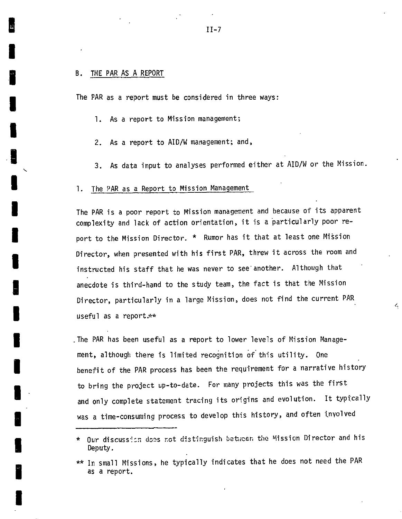#### B. THE PAR **AS A** REPORT

The PAR as a report must be considered in three ways:

**1.** As a report to Mission management;

2. As a report to AID/W management; and,

**3.** As data input to analyses performed either at AID/W or the Mission.

#### **1.** The PAR as a Report to Mission Management

The PAR is a poor report to Mission management and because of its apparent complexity and lack of action orientation, it is a particularly poor report to the Mission Director. **\*** Rumor has it that at least one Mission Director, when presented with his first PAR, threw it across the room and instructed his staff that he was never to see another. Although that anecdote is third-hand to the study team, the fact is that the Mission Director, particularly in a large Mission, does not find the current PAR useful as a report.\*\*

4

The PAR has been useful as a report to lower levels of Mission Management, although there is limited recognition of this utility. One benefit of the PAR process has been the requirement for a narrative history to bring the project up-to-date. For many projects this was the first and only complete statement tracing its origins and evolution. It typtcally was a time-consuming process to develop this history, and often involved

<sup>\*</sup>  Our discussio: does not distinguish betucen the Mission Director and his Deputy.

<sup>\*\*</sup> In small Missions, he typically indicates that he does not need the PAR as a report.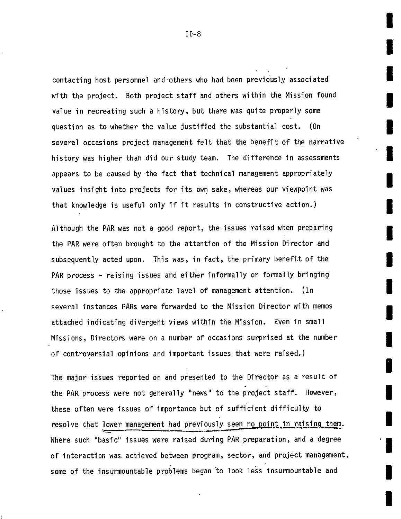contacting host personnel and-others who had been previously associated with the project. Both project staff and others within the Mission found value in recreating such a history, but there was quite properly some question as to whether the value justified the substantial cost. (On several occasions project management felt that the benefit of the narrative history was higher than did our study team. The difference in assessments appears to be caused **by** the fact that technical management appropriately values insight into projects for its own sake, whereas our viewpoint was that knowledge is useful only if it results in constructive action.)

Although the PAR was not a good report, the issues raised when preparing the PAR were often brought to the attention of the Mission Director and subsequently acted upon. This was, in fact, the primary benefit of the PAR process **-** raising issues and either informally or formally bringing those issues to the appropriate level of management attention. (In several instances PARs were forwarded to the Mission Director with memos attached indicating divergent views within the Mission. Even in small Missions, Directors were on a number of occasions surprised at the number of controversial opinions and important issues that were raised.)

The major issues reported on and presented to the Director as a result of the PAR process were not generally "news" to the project staff. However, these often were issues of importance but of sufficient difficulty to resolve that lower management had previously seen no point in raising them. Where such "basic" issues were raised during PAR preparation, and a degree of interaction was achieved between program, sector, and project management, some of the insurmountable problems began to look less insurmountable and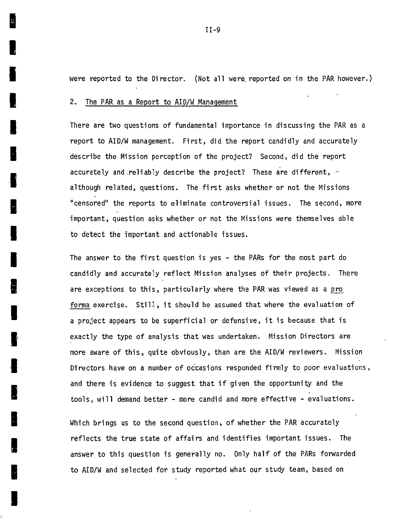were reported to the Director. (Not all were.reported on in the PAR however.)

2. The PAR as a Report to AID/W Management

There are two questions of fundamental importance in discussing the PAR as a report to AID/W management. First, did the report candidly and accurately describe the Mission perception of the project? Second, did the report accurately and reliably describe the project? These are different,  $\leq$ although related, questions. The first asks whether or not the Missions "censored" the reports to eliminate controversial issues. The second, more important, question asks whether or not the Missions were themselves able to detect the important and actionable issues.

The answer to the first question is yes **-** the PARs for the most part do candidly and accurately reflect Mission analyses of their projects. There are exceptions to this, particularly where the PAR was viewed as a pro forma exercise. Still, it should be assumed that where the evaluation of a project appears to be superficial or defensive, it is because that is exactly the type of analysis that was undertaken. Mission Directors are more aware of this, quite obviously, than are the AID/W reviewers. Mission Directors have on a number of occasions responded firmly to poor evaluations, and there is evidence to suggest that if given the opportunity and the tools, will demand better **-** more candid and more effective **-** evaluations.

Which brings us to the second question, of whether the PAR accurately reflects the true state of affairs and identifies important issues. The answer to this question is generally no. Only half of the PARs forwarded to AID/W and selected for study reported what our study team, based on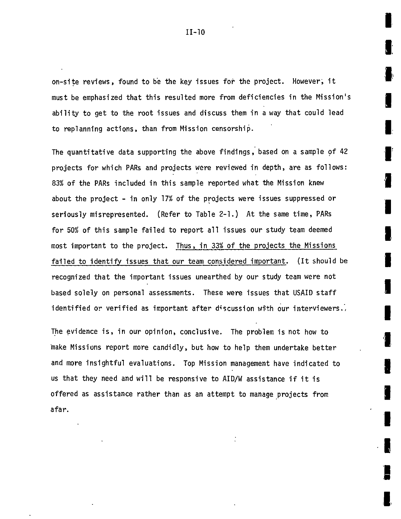on-site reviews, found to be the key issues for the project. However, it must be emphasized that this resulted more from deficiencies in the Mission's ability to get to the root issues and discuss them in a way that could lead to replanning actions, than from Mission censorship.

The quantitative data supporting the above findings, based on a sample of 42 projects for which PARs and projects were reviewed in depth, are as follows: **83%** of the PARs included in this sample reported what the Mission knew about the project **-** in only **17%** of the projects were issues suppressed or seriously misrepresented. (Refer to Table 2-1.) At the same time, PARs for **50%** of this sample failed to report all issues our study team deemed most important to the project. Thus, in **33%** of the projects the Missions failed to identify issues that our team considered important. (Itshould be recognized that the important issues unearthed **by** our study team were not based solely on personal assessments. These were issues that USAID staff identified or verified as important after discussion with our interviewers.,

The evidence is, in our opinion, conclusive. The problem is not how to make Missions report more candidly, but how to help them undertake better and more insightful evaluations. Top Mission management have indicated to us that they need and will be responsive to AID/W assistance if it is offered as assistance rather than as an attempt to manage projects from afar.

n<br>E

e<br>E

**II-10**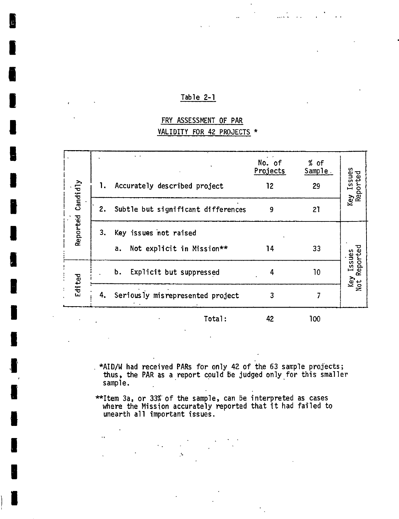#### Table 2-1

## FRY **ASSESSMENT** OF PAR VALIDITY FOR 42 **PROJECTS \***

 $\mathbf{r}$ 

 $\ddot{\phantom{a}}$ 

 $\sim$   $\sim$ 

| Candidly | 1. | Accurately described project                             | No. of<br>Projects<br>12 | $%$ of<br>Sample.<br>29 | Issues<br>Key Issues<br>Reported |
|----------|----|----------------------------------------------------------|--------------------------|-------------------------|----------------------------------|
|          | 2. | Subtle but significant differences                       | 9                        | 21                      |                                  |
| Reported | 3. | Key issues not raised<br>Not explicit in Mission**<br>a. | 14                       | 33                      |                                  |
| Edited   |    | Explicit but suppressed<br>b.                            | 4                        | 10                      | Reported<br>Issues               |
|          | 4. | Seriously misrepresented project                         | 3                        |                         | Key<br>Not                       |
|          |    | Total:                                                   | 42                       | 100                     |                                  |

- \*AID/W had received PARs for only 42 of the **63** sample projects; thus, the PAR as a report cpuld be judged only for this smaller sample.
- \*\*Item 3a, or 33%'of the sample, can be interpreted as cases where the Mission accurately reported that it had failed to unearth all important issues.

 $\ddot{\phantom{a}}$ 

 $\mathcal{F}_{\mathcal{A}}$  $\mathcal{L}$ 

 $\ddot{\phantom{a}}$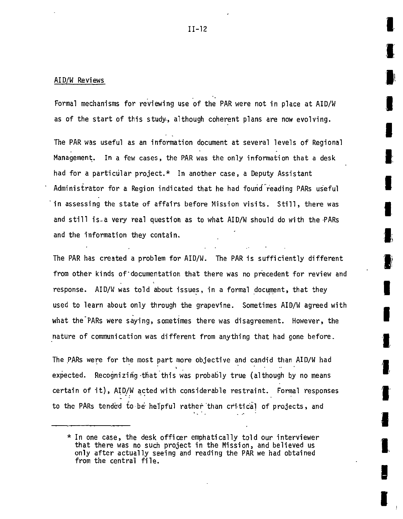#### AID/W Reviews

Formal mechanisms for reviewing use of the PAR were not inplace at AID/W as of the start of this study., although coherent plans are now evolving.

The PAR was useful as an information document at several levels of Regional Management. In a few cases, the PAR was the only information that a desk had for a particular project.\* In another case, a Deputy Assistant Administrator for a Region indicated that he had found reading PARs useful in assessing the state of affairs before Mission visits. Still, there was and still is-a very real question as to what AID/W should do with the PARs and the information they contain.

The PAR has created a problem for AID/W. The PAR is sufficiently different from other kinds of documentation that there was no precedent for review and response. AID/W was told about issues, in a formal document, that they used to learn about only through the grapevine. Sometimes AID/W agreed with what the PARs were saying, sometimes there was disagreement. However, the nature of communication was different from anything that had gone before.

The PARs were for the most part more objective and candid than AID/W had expected. Recognizin'g -that this was probably true (although **by** no means certain of it), AID/W acted with considerable restraint. Formal responses to the PARs tended to be helpful rather than critical of projects, and

 $*$  In one case, the desk officer emphatically told our interviewer that there was no such project in the Mission, and believed us only after actually seeing and reading the PAR we had obtained from the central file.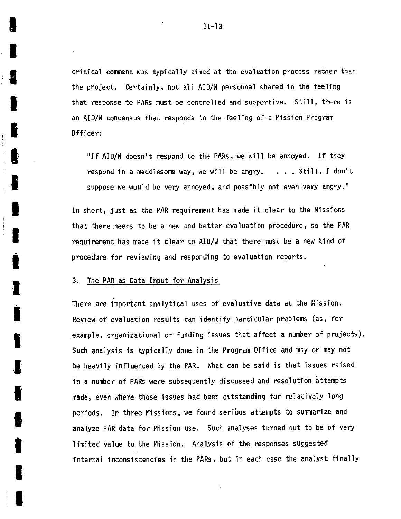critical comment was typically aimed at the evaluation process rather than the project. Certainly, not all AID/W personnel shared in the feeling that response to PARs must be controlled and supportive. Still, there is an AID/W concensus that responds to the feeling of-a Mission Program Officer:

**"If** AID/W doesn't respond to the PARs, we will be annoyed. **If** they respond in a meddlesome way, we will be angry. **. . .** Still, I don't suppose we would be very annoyed, and possibly not even very angry."

In short, just as the PAR requirement has made it clear to the Missions that there needs to be a new and better evaluation procedure, so the PAR requirement has made it clear to AID/W that there must be a new kind of procedure for reviewing and responding to evaluation reports.

**3.** The PAR as Data Input for Analysis

There are important analytical uses of evaluative data at the Mission. Review of evaluation results can identify particular problems (as, for example, organizational or funding issues that affect a number of projects). Such analysis is typically done in the Program Office and may or may not be heavily influenced **by** the PAR. What can be said is that issues raised in a number of PARs were subsequently discussed and resolution attempts made, even where those issues had been outstanding for relatively long periods. In three Missions, we found seribus attempts to summarize and analyze PAR data for Mission use. Such analyses turned out to be of very limited value to the Mission. Analysis of the responses suggested internal inconsistencies in the PARs, but in each case the analyst finally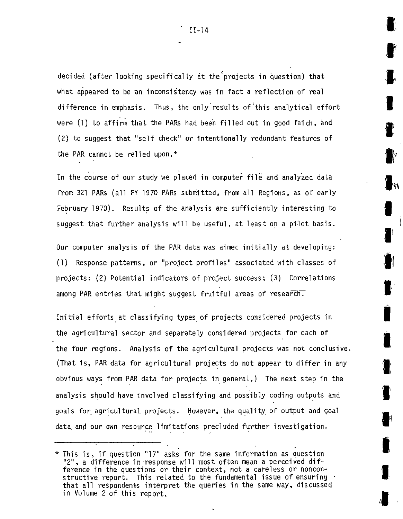decided (after looking specifically at the'projects in question) that what appeared to be an inconsistency was in fact a reflection of real difference in emphasis. Thus, the only results of this analytical effort were **(1)**to affirm that the PARs had been filled out in good faith, and (2) to suggest that "self check" or intentionally redundant features of the PAR cannot be relied upon.\*

In the course of our study we placed in computer file and analyzed data from **321** PARs (all FY **1970** PARs submitted, from all Regions, as of early February **1970).** Results of the analysis are sufficiently interesting to suggest that further analysis will be useful, at least on a pilot basis.

Our computer analysis of the PAR data was aimed initially at developing: **(1)** Response patterns, or "project profiles" associated with classes of projects; (2) Potential indicators of project success; **(3)** Correlations among PAR entries that might suggest fruitful areas of research.

Initial efforts at classifying types of projects considered projects in the agricultural sector and separately considered projects for each of the four regions. Analysis of the agricultural projects was not conclusive. (That is, PAR data for agricultural projects do not appear to differ in any obvious ways from PAR data for projects ingeneral.) The next step in the analysis should have involved classifying and possibly coding outputs and goals for.agricultural, projects. However, the quality of output and goal data and our own resource limitations precluded further investigation.

<sup>\*</sup> This is, if question **"17"** asks for the same information as question '2", a difference in-response will 'most often mean a perceived difference in the questions or their context, not a careless or nonconstructive report. This related to the fundamental issue of ensuring that all respondents interpret the queries in the same way, discussed in Volume 2 of this report.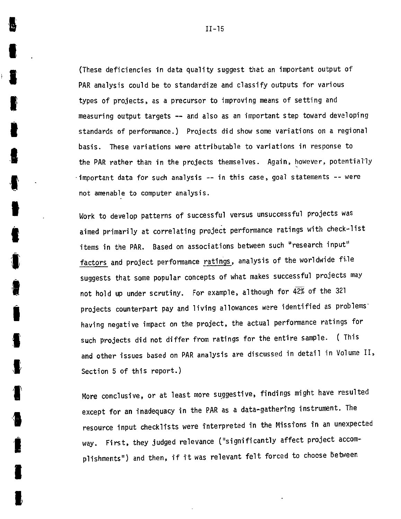(These deficiencies in data quality suggest that an important output of PAR analysis could be to standardize and classify outputs for various types of projects, as a precursor to improving means of setting and measuring output targets **--** and also as an important step toward developing standards of performance.) Projects did show some variations on a regional basis. These variations were attributable to variations in response to the PAR rather than in the projects themselves. Again, however, potentially important data for such analysis -- in this case, goal statements -- were not amenable to computer analysis.

Work to develop patterns of successful versus unsuccessful projects was aimed primarily at correlating project performance ratings with check-list items in the PAR. Based on associations between such "research input" factors and project performance ratings, analysis of the worldwide file suggests that some popular concepts of what makes successful projects may not hold up under scrutiny. For example, although for 42% of the **321** projects counterpart pay and living allowances were identified as problems' having negative impact on the project, the actual performance ratings for such projects did not differ from ratings for the entire sample. ( This and other issues based on PAR analysis are discussed in detail in Volume II, Section **5** of this report.)

More conclusive, or at least more suggestive, findings might have resulted except for an inadequacy in the PAR as a data-gathering instrument. The resource input checklists were interpreted in the Missions in an unexpected way. First, they judged relevance ("significantly affect project accom plishments") and then, if it was relevant felt forced to choose  $\mathtt{between}$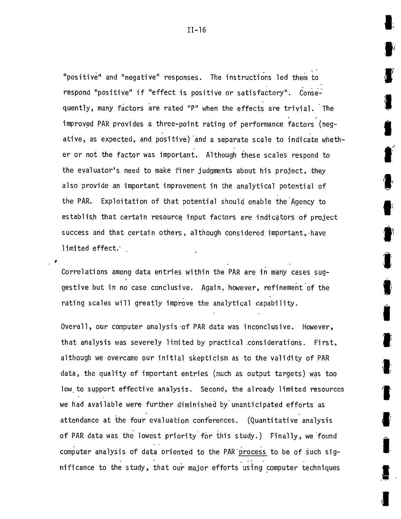"positive" and "negative" responses. The instructions led them to respond "positive" if "effect is positive or satisfactory". Consequently, many factors are rated "P" when the effects are trivial. The improved PAR provides a three-point rating of performance factors (negative, as expected, and positive) and a separate scale to indicate whether or not the factor was important. Although these scales respond to the evaluator's need to make finer judgments about his project, they also provide an important improvement in the analytical potential of the PAR. Exploitation of that potential should enable the Agency to establish that certain resource input factors are indicators of project success and that certain others, although considered important, have limited effect.

Correlations among data entries within the PAR are in many cases suggestive but in no case conclusive. Again, however, refinement of the rating scales will greatly improve the analytical capability.

Overall, our computer analysis of PAR data was inconclusive. However, that analysis was severely limited **by** practical considerations. First, although we overcame our initial skepticism as to the validity of PAR data, the quality of important entries (much as output targets) was too low.to support effective analysis. Second, the already limited resources we had available were further diminished by unanticipated efforts as attendance at the four evaluation conferences. (Quantitative analysis of PAR data was the lowest priority for this study.) Finally, we found computer analysis of data oriented to the PAR'process to be of such significance to the study, that our major efforts using computer techniques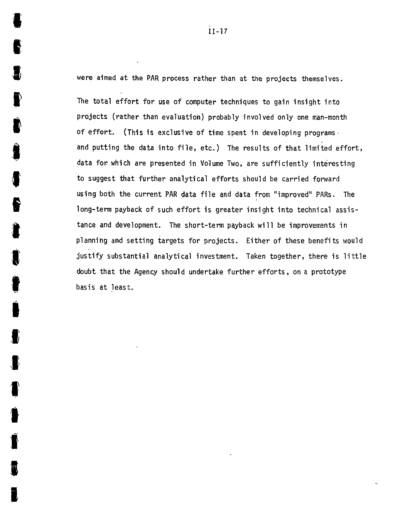were aimed at the PAR process rather than at the projects themselves.

R

The total effort for use of computer techniques to gain insight into projects (rather than evaTuation) probably involved only one man-month of effort. (This is exclusive of time spent in developing programsand putting the data into file, etc.) The results of that limited effort, data for which are presented in Volume Two, are sufficiently interesting to suggest that further analytical efforts should be carried forward using both the current PAR data file and data from "improved" PARs. The long-term payback of such effort is greater insight into technical assistance and development. The short-term payback will be improvements in planning and setting targets for projects. Either of these benefits would justify substantial analytical investment. Taken together, there is little doubt that the Agency should undertake further efforts, on a prototype basis at least.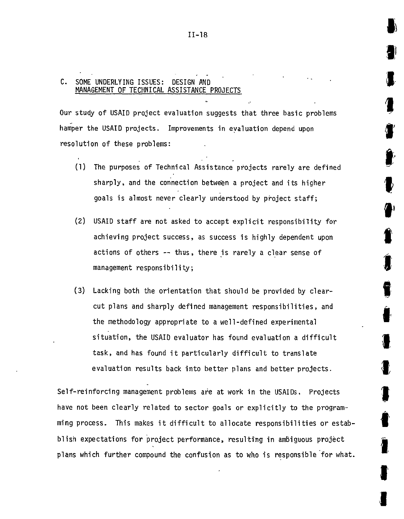#### **C. SOME** UNDERLYING **ISSUES:** DESIGN **AND MANAGEMENT** OF TECHNICAL **ASSISTANCE PROJECTS**

Our study of **USAID** project evaluation suggests that three basic problems hamper the USAID projects. Improvements in evaluation depend upon resolution of these problems:

- **(1)** The purposes of Technical Assistance projects rarely are defined sharply, and the connection between a project and its higher goals is almost never clearly understood **by** project staff;
- (2) USAID staff are not asked to accept explicit responsibility for achieving project success, as success is **highly** dependent upon actions of others **--** thus, there is rarely a clear sense of management responsibility;
- **(3)** Lacking both the orientation that should be provided **by** clearcut plans and sharply defined management responsibilities, and the methodology appropriate to a well-defined experimental situation, the USAID evaluator has found evaluation a difficult task, and has found it particularly difficult to translate evaluation results back into better plans and better projects.

Self-reinforcing management problems are at work in the USAIDs. Projects have not been clearly related to sector goals or explicitly to the programming process. This makes it difficult to allocate responsibilities or estabblish expectations for project performance, resulting in ambiguous project plans which further compound the confusion as to who is responsible for what.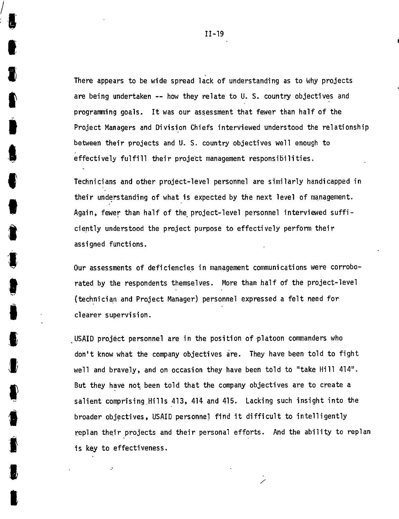There appears to be wide spread lack of understanding as to **Why** projects are being undertaken **--** how they relate to **U. S.** country objectives and programing goals. Itwas our assessment that fewer than half of the Project Managers and Division Chiefs interviewed understood the relationship between their projects and **U. S.** country objectives well enough to effectively fulfill their project management responsibilities.

Technicians and other project-level personnel are similarly handicapped in their understanding of what is expected **by** the next level of management. Again, fewer than half of the project-level personnel interviewed sufficiently understood the project purpose to effectively perform their assigned functions.

Our assessments of deficiencies in management communications were corroborated **by** the respondents themselves. More than half **of** the project-level (technician and Project Manager) personnel expressed a felt need for clearer supervision.

USAID project personnel are in the position of-platoon commanders who don't know what the company objectives are. They have been told to fight well and bravely, and on occasion they have been told to "take Hill 414". But they have not been told that the company objectives are to create a salient comprising.Hills 413, 414 and 415. Lacking such insight into the broader objectives, USAID personnel find it difficult to intelligently replan their projects and their personal efforts. And the ability to replan is key to effectiveness.

'V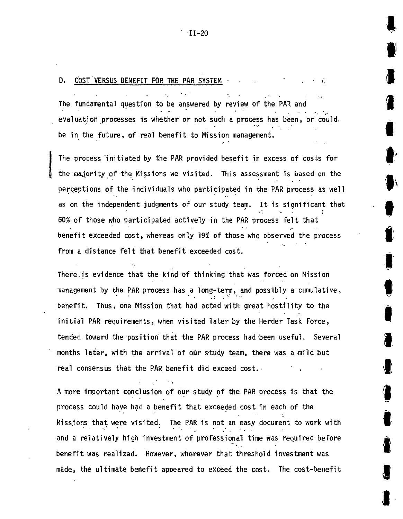## **D. COST VERSUS BENEFIT FOR THE PAR SYSTEM**  $\cdot$

The fundamental question to be answered **by** review of the PAR and evaluation processes iswhether or not such a process has been, or could. be in the future, of real benefit to Mission management.

The process initiated **by** the PAR provided benefit in excess of costs for the majority of the Missions we visited. This assessment is based on the perceptions of the individuals who participated in the PAR process as well as on the independent judgments of our study team. It is significant that **60%** of those who participated actively in the PAR process felt that benefit exceeded cost, whereas only **19%** of those who observed the process from a distance felt that benefit exceeded cost.

**9** 

There is evidence that the kind of thinking that was forced on Mission management **by** the PAR process has a long-term, and possibly a-cumulative, benefit. Thus, one Mission that had acted with great hostility to the initial PAR requirements, when visited later **by** the Herder Task Force, tended toward the position that the PAR process had been useful. Several months later, with the arrival of our study team, there was a mild but real consensus that the PAR benefit did exceed cost. $\cdot$ 

**A** more important conclusion of our study of the PAR process is that the process could have had a benefit that exceeded cost in each of the Missjons that were visited. The PAR is not an easy document to work with and a relatively high investment of professional time was required before benefit was realized. However, wherever that threshold investment was made, the ultimate benefit appeared to exceed the cost. The cost-benefit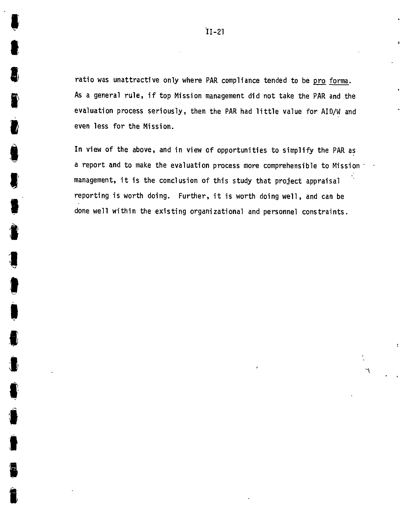ratio was unattractive only where PAR compliance tended to be pro forma. As a general rule, if top Mission management did not take the PAR and the evaluation process seriously, then the PAR had little value for AID/W and even less for the Mission.

In view of the above, and in view of opportunities to simplify the PAR as a report and to make the evaluation process more comprehensible to Mission : management, it is the conclusion of this study that project appraisal reporting is worth doing. Further, it is worth doing well, and can be done well within the existing organizational and personnel constraints.

**'A**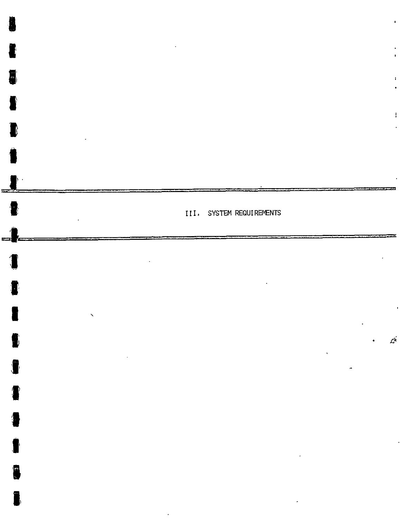

I

I

冒

1

 $\blacksquare$ 

I

 $\blacksquare$ 

€

1

 $\frac{1}{2}$ 

j

8

 $\blacksquare$ 

ł

 $\hat{K}$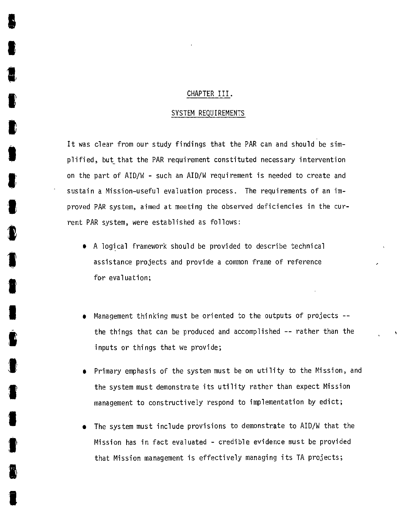#### CHAPTER III.

#### SYSTEM REQUIREMENTS

It was clear from our study findings that the PAR can and should be simplified, but that the PAR requirement constituted necessary intervention on the part of AID/W **-** such an AID/W requirement is needed to create and sustain a Mission-useful evaluation process. The requirements of an improved PAR system, aimed at meeting the observed deficiencies in the current PAR system, were established as follows:

- **\* A** logical framework should be provided to describe technical assistance projects and provide a common frame of reference for evaluation;
- \* Management thinking must be oriented to the outputs of projects  the things that can be produced and accomplished **--** rather than the inputs or things that we provide;
- **e** Primary emphasis of the system must be on utility to the Mission, and the system must demonstrate its utility rather than expect Mission management to constructively respond to implementation **by** edict;
- The system must include provisions to demonstrate to AID/W that the Mission has in fact evaluated **-** credible evidence must be provided that Mission management is effectively managing its **TA** projects;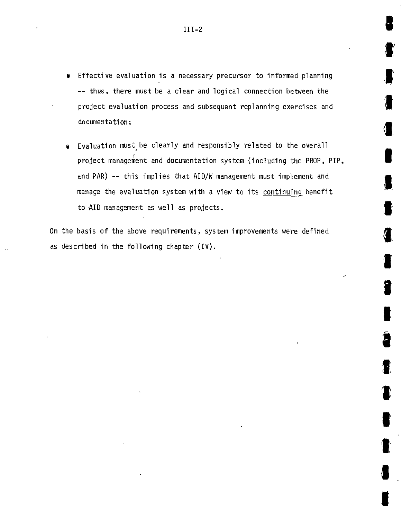- **#** Effective evaluation is a necessary precursor to informed planning **--** thus, there must be a clear and logical connection between the project evaluation process and subsequent replanning exercises and documentation;
- $\bullet$  Evaluation must<sub>,</sub> be clearly and responsibly related to the overall project management and documentation system (including the PROP, PIP, and PAR) **--** this implies that AID/W management must implement and manage the evaluation system with a view to its continuing benefit to AID management as well as projects.

On the basis of the above requirements, system improvements were defined as described in the following chapter (IV).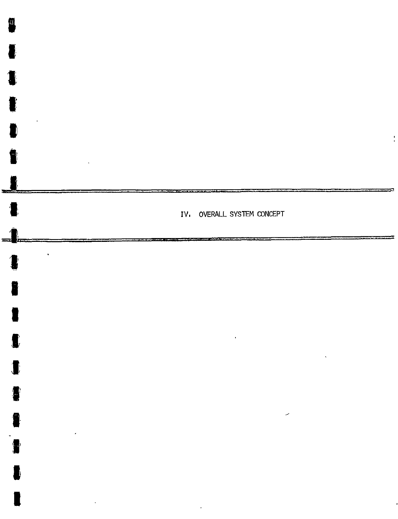

**I** 

 $\blacksquare$ 

 $\blacksquare$ 

 $\hat{\textbf{v}}$ 

I

 $\bullet$ 

1

a

£

 $\blacksquare$ 

 $\blacksquare$ 

1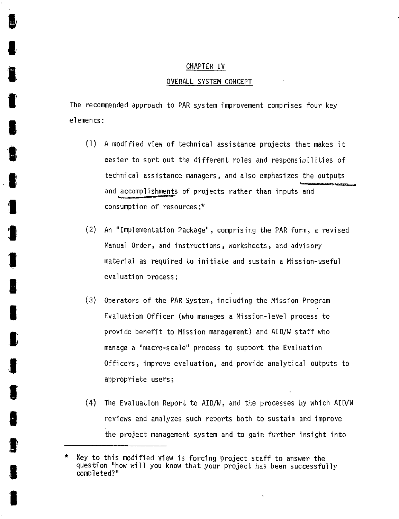## CHAPTER IV OVERALL SYSTEM **CONCEPT**

The recommended approach to PAR system improvement comprises four key elements:

- **(1) A** modified view of technical assistance projects that makes it easier to sort out the different roles and responsibilities of technical assistance managers, and also emphasizes the outputs and accomplishments of projects rather than inputs and consumption of resources;\*
- (2) An "Implementation Package", comprising the PAR form, a revised Manual Order, and instructions, worksheets, and advisory material as required to initiate and sustain a Mission-useful evaluation process;
- **(3)** Operators of the PAR System, including the Mission Program Evaluation Officer (who manages a Mission-level process to provide benefit to Mission management) and AID/W staff who manage a "macro-scale" process to support the Evaluation Officers, improve evaluation, and provide analytical outputs to appropriate users;
- (4) The Evaluation Report to AID/W, and the processes **by** which AID/W reviews and analyzes such reports both to sustain and improve the project management system and to gain further insight into

Key to this modified view is forcing project staff to answer the question "how will you know that your project has been successfully completed?"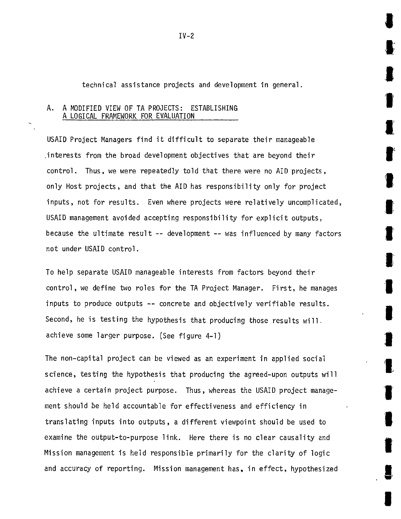technical assistance projects and development in general.

#### **A. A** MODIFIED VIEW OF **TA PROJECTS:** ESTABLISHING **A LOGICAL** FRAMEWORK FOR EVALUATION  $\overline{a}$

USAID Project Managers find it difficult to separate their manageable .interests from the broad development objectives that are beyond their control. Thus, we were repeatedly told that there were no AID projects, only Host projects, and that the AID has responsibility only for project inputs, not for results. Even where projects were relatively uncomplicated, USAID management avoided accepting responsibility for explicit outputs, because the ultimate result **--** development **--** was influenced **by** many factors not under USAID control.

To help separate USAID manageable interests from factors beyond their control, we define two roles for the **TA** Project Manager. First, he manages inputs to produce outputs **--** concrete and objectively verifiable results. Second, he is testing the hypothesis that producing those results will. achieve some larger purpose. (See figure 4-1)

The non-capital project can be viewed as an experiment in applied social science, testing the hypothesis that producing the agreed-upon outputs will achieve a certain project purpose. Thus, whereas the USAID project management should be held accountable for effectiveness and efficiency in translating inputs into outputs, a different viewpoint should be used to examine the output-to-purpose link. Here there is no clear causality and Mission management is held responsible primarily for the clarity of logic and accuracy of reporting. Mission management has, in effect, hypothesized

**I**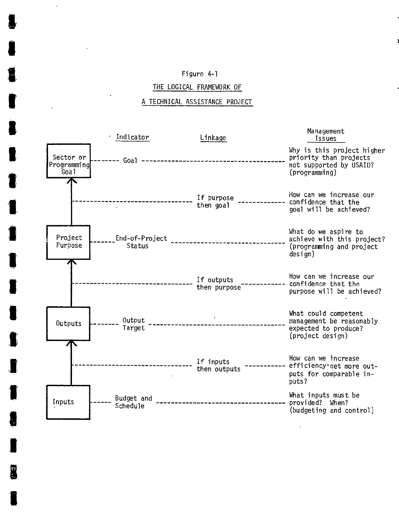#### Figure 4-1

#### THE LOGICAL FRAMEWORK OF

#### **A** TECHNICAL **ASSISTANCE PROJECT**

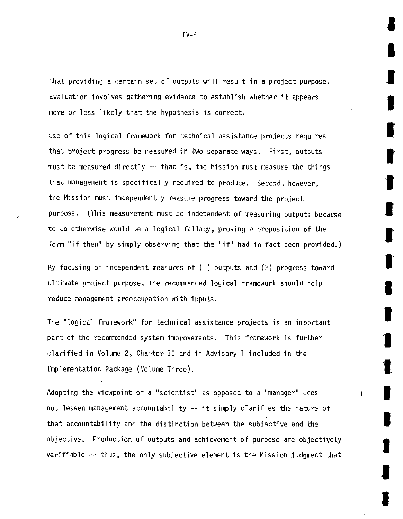that providing a certain set of outputs will result in a project purpose. Evaluation involves gathering evidence to establish whether it appears more or less likely that the hypothesis is correct.

Use of this logical framework for technical assistance projects requires that project progress be measured in two separate ways. First, outputs must be measured directly **--** that is,the Mission must measure the things that management is specifically required to produce. Second, however, the Mission must independently measure progress toward the project purpose. (This measurement must be independent of measuring outputs because to do otherwise would be a logical fallacy, proving a proposition of the form **"if**then" **by** simply observing that the **"if"**had in fact been provided.)

**By** focusing on independent measures of **(1)**outputs and (2)progress toward ultimate project purpose, the recommended logical framework should help reduce management preoccupation with inputs.

The "logical framework" for technical assistance projects is an important part of the recommended system improvements. This framework is further clarified in Volume 2, Chapter II and in Advisory **1** included in the Implementation Package (Volume Three).

Adopting the viewpoint of a "scientist" as opposed to a "manager" does not lessen management accountability **--** it simply clarifies the nature of that accountability and the distinction between the subjective and the objective. Production of outputs and achievement of purpose are objectively verifiable **--** thus, the only subjective element is the Mission judgment that

**I** 

i

**I**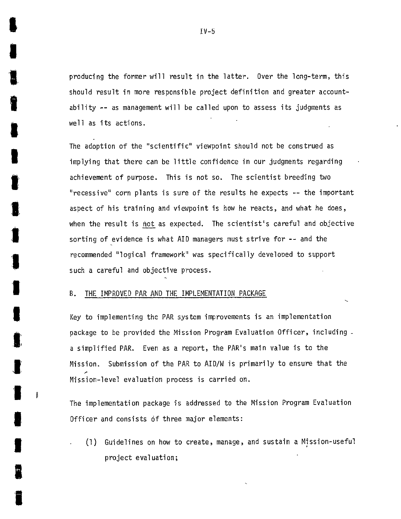producing the former will result in the latter. Over the long-term, this should result in more responsible project definition and greater accountability **--** as management will be called upon to assess its judgments as well as its actions.

The adoption of the "scientific" viewpoint should not be construed as implying that there can be little confidence in our judgments regarding achievement of purpose. This is not so. The scientist breeding two "recessive" corn plants is sure of the results he expects **--** the important aspect of his training and viewpoint is how he reacts, and what he does, when the result is not as expected. The scientist's careful and objective sorting of-evidence is what AID managers must strive for **--** and the recommended "logical framework" was specifically develooed to support such a careful and objective process.

#### B. THE IMPROVED PAR **AND** THE IMPLEMENTATION **PACKAGE**

I

Key to implementing the PAR system improvements is an implementation package to be provided the Mission Program Evaluation Officer, including a simplified PAR. Even as a report, the PAR's main value is to the Mission. Submission of the PAR to AID/W is primarily to ensure that the Mission-level evaluation process is carried on.

The implementation package is addressed to the Mission Program Evaluation Officer and consists **of** three major elements:

**3 (1)** Guidelines on how to create, manage, and sustain a Mission-useful project evaluation;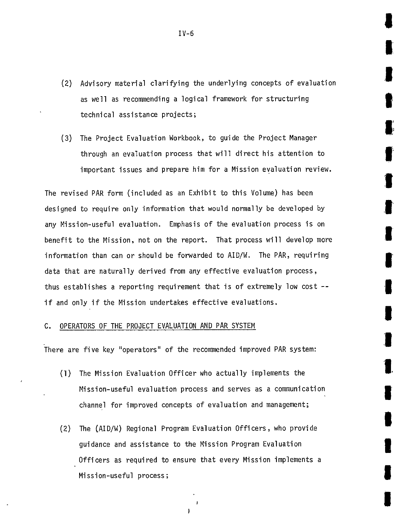- (2) Advisory material clarifying the underlying concepts of evaluation as well as recommending a logical framework for structuring technical assistance projects;
- **(3)** The Project Evaluation Workbook, to guide the Project Manager through an evaluation process that will direct his attention to important issues and prepare him for a Mission evaluation review.

The revised PAR form (included as an Exhibit to this Volume) has been designed to require only information that would normally be developed **by**  any Mission-useful evaluation. Emphasis of the evaluation process is on benefit to the Mission, not on the report. That process will develop more information than can or should be forwarded to AID/W. The PAR, requiring data that are naturally derived from any effective evaluation process, thus establishes a reporting requirement that is of extremely low cost  if and only if the Mission undertakes effective evaluations.

#### **C.** OPERATORS OF THE **PROJECT** EVALUATION **AND** PAR SYSTEM

There are five key "operators" of the recommended improved PAR system:

- **(1)** The Mission Evaluation Officer who actually implements the Mission-useful evaluation process and serves as a communication channel for improved concepts of evaluation and management;
- (2) The (AID/W) Regional Program Evaluation Officers, who provide guidance and assistance to the Mission Program Evaluation Officers as required to ensure that every Mission implements a Mission-useful process;

J.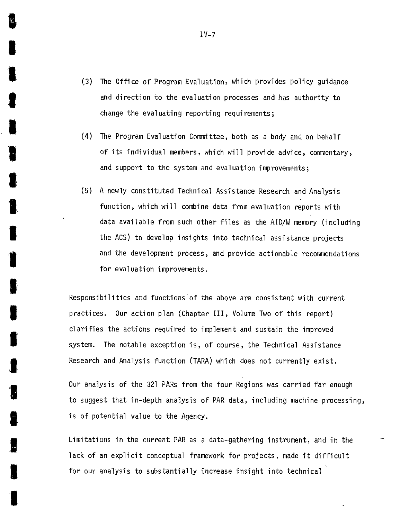- **(3)** The Office of Program Evaluation, which provides policy guidance and direction to the evaluation processes and has authority to change the evaluating reporting requirements;
- (4) The Program Evaluation Committee, both as a body and on behalf of its individual members, which will provide advice, commentary, and support to the system and evaluation improvements;
- **(5) A** newly constituted Technical Assistance Research and Analysis function, which will combine data from evaluation reports with data available from such other files as the AID/W memory (including the **ACS)** to develop insights into technical assistance projects and the development process, and provide actionable recommendations for evaluation improvements.

Responsibilities and functions of the above are consistent with current practices. Our action plan (Chapter III, Volume Two of this report) clarifies the actions required to implement and sustain the improved system. The notable exception is, of course, the Technical Assistance Research and Analysis function (TARA) which does not currently exist.

Our analysis of the **321** PARs from the four Regions was carried far enough to suggest that in-depth analysis of PAR data, including machine processing, is of potential value to the Agency.

Limitations in the current PAR as a data-gathering instrument, and in the lack of an explicit conceptual framework for projects, made it difficult for our analysis to substantially increase insight into technical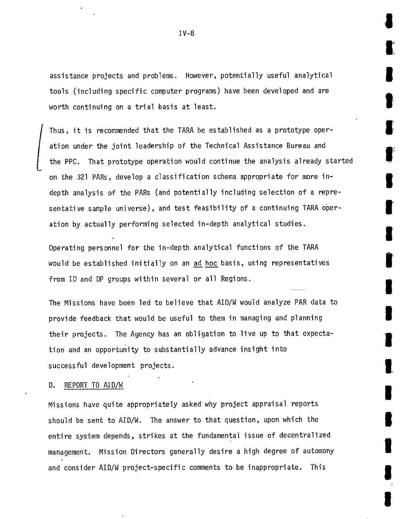assistance projects and problems. However, potentially useful analytical tools (including specific computer programs) have been developed and are worth continuing on a trial basis at least.

Thus, it is recommended that the TARA be established as a prototype operation under the joint leadership of the Technical Assistance Bureau and the PPC. That prototype operation would continue the analysis already started on the **321** PARs, develop a classification schema appropriate for more indepth analysis of the PARs (and potentially including selection of a representative sample universe), and test feasibility of a continuing TARA operation **by** actually performing selected in-depth analytical studies.

Operating personnel for the in-depth analytical functions of the TARA would be established initially on an ad hoc basis, using representatives from **ID** and DP groups within several or all Regions.

The Missions have been led to believe that AID/W would analyze PAR data to provide feedback that would be useful to them in managing and planning their projects. The Agency has an obligation to live up to that expectation and an opportunity to substantially advance insight into successful development projects.

#### **D.** REPORT TO AID/W

Missions have quite appropriately asked why project appraisal reports should be sent to AID/W. The answer to that question, upon which the entire system depends, strikes at the fundamental issue of decentralized management. Mission Directors generally desire a high degree of automony and consider AID/W project-specific comments to be inappropriate. This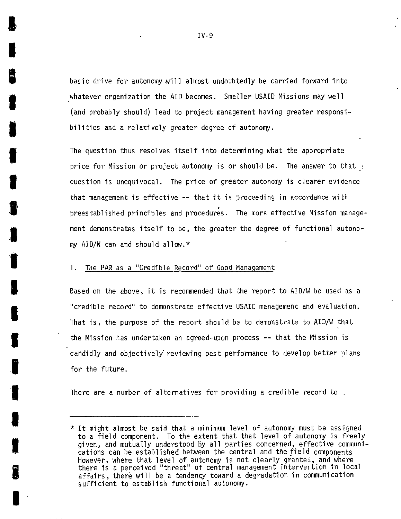basic drive for autonomy will almost undoubtedly be carried forward into whatever organization the AID becomes. Smaller USAID Missions may well (and probably should) lead to project management having greater responsibilities and a relatively greater degree of autonomy.

The question thus resolves itself into determining what the appropriate price for Mission or project autonomy is or should be. The answer to that  $\epsilon$ question is unequivocal. The price of greater autonomy is clearer evidence that management is effective **--** that it is proceeding in accordance with preestablished principles and procedures. The more effective Mission management demonstrates itself to be, the greater the degree of functional autonomy AID/W can and should allow.\*

### **1.** The PAR as a "Credible Record" of Good Management

Based on the above, it is recommended that the report to AID/W be used as a 'credible record" to demonstrate effective USAID management and evaluation. That is, the purpose of the report should be to demonstrate to  $AID/W$  that the Mission has undertaken an agreed-upon process **--** that the Mission is candidly and objectively reviewing past performance to develop better plans for the future.

There are a number of alternatives for providing a credible record to .

 $*$  It might almost be said that a minimum level of autonomy must be assigned to a field component. To the extent that that level of autonomy is freely given, and mutually understood **by** all parties concerned, effective communications can be established between the central and the field components However, where that level of autonomy is not clearly granted, and where there is a perceived "threat" of central management intervention in local affairs, there will be a tendency toward a degradation in communication sufficient to establish functional autonomy.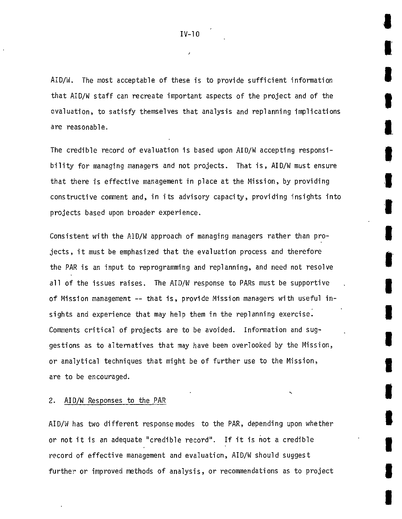AID/W. The most acceptable of these is to provide sufficient information that AID/W staff can recreate important aspects of the project and of the evaluation, to satisfy themselves that analysis and replanning implications are reasonable.

The credible record of evaluation is based upon AID/W accepting responsibility for managing managers and not projects. That is, AID/W must ensure that there is effective management in place at the Mission, **by** providing constructive comment and, in its advisory capacity, providing insights into projects based upon broader experience.

Consistent with the AiD/W approach of managing managers rather than projects, it must be emphasized that the evaluation process and therefore the PAR is an input to reprogramming and replanning, and need not resolve all of the issues raises. The AID/W response to PARs must be supportive of Mission management **--** that is, provide Mission managers with useful insights and experience that may help them in the replanning exercise. Comments critical of projects are to be avoided. Information and suggestions as to alternatives that may have been overlooked **by** the Mission, or analytical techniques that might be of further use to the Mission, are to be encouraged.

**3** 

2. AID/W Responses to the PAR

AID/W has two different response modes to the PAR, depending upon whether or not it is an adequate "credible record". If it is not a credible record of effective management and evaluation, AID/W should suggest further or improved methods of analysis, or recommendations as to project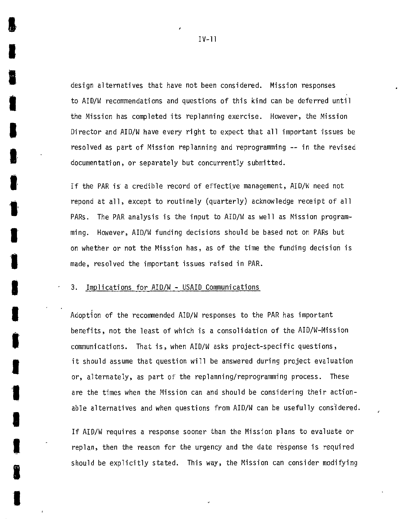design alternatives that have not been considered. Mission responses to AID/W recommendations and questions of this kind can be deferred until the Mission has completed its replanning exercise. However, the Mission Director and AID/W have every right to expect that all important issues be resolved as part of Mission replanning and reprogramming **--** in the revised documentation, or separately but concurrently submitted.

If the PAR is a credible record of effective management, AID/W need not repond at all, except to routinely (quarterly) acknowledge receipt of all PARs. The PAR analysis is the input to AID/W as well as Mission programming. However, AID/W funding decisions should be based not on PARS but on whether or not the Mission has, as of the time the funding decision is made, resolved the important issues raised in PAR.

#### **3.** Implications for AID/W **-** USAID Communications

Adoption of the recommended AID/W responses to the PAR has important benefits, not the least of which is a consolidation of the AID/W-Mission communications. That is, when AID/W asks project-specific questions, it should assume that question will be answered during project evaluation or, alternately, as part of the replanning/reprogramming process. These are the times when the Mission can and should be considering their actionable alternatives and when questions from AID/W can be usefully considered.

IfAID/W requires a response sooner than the Mission plans to evaluate or replan, then the reason for the urgency and the date response is required should be explicitly stated. This way, the Mission can consider modifying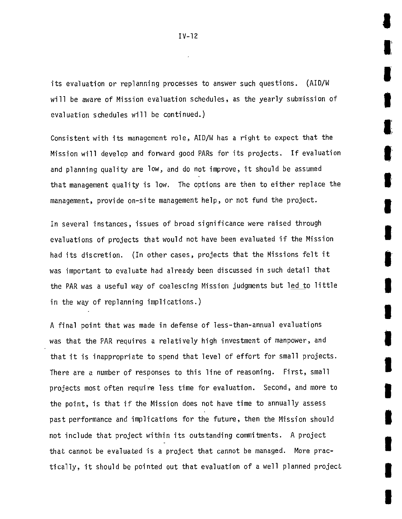its evaluation or replanning processes to answer such questions. (AID/W will be aware of Mission evaluation schedules, as the yearly submission of evaluation schedules will be continued.)

Consistent with its management role, AID/W has a right to expect that the Mission will develop and forward good PARs for its projects. If evaluation and planning quality are **low,** and do not improve, it should be assumed that management quality is low. The options are then to either replace the management, provide on-site management help, or not fund the project.

In several instances, issues of broad significance were raised through evaluations of projects that would not have been evaluated if the Mission had its discretion. (In other cases, projects that the Missions felt it was important to evaluate had already been discussed in such detail that the PAR was a useful way of coalescing Mission judgments but led to little in the way of replanning implications.)

**A** final point that was made in defense of less-than-annual evaluations was that the PAR requires a relatively high investment of manpower, and that it is inappropriate to spend that level of effort for small projects. There are a number of responses to this line of reasoning. First, small projects most often require less time for evaluation. Second, and more to the point, is that if the Mission does not have time to annually assess past performance and implications for the future, then the Mission should not include that project within its outstanding commitments. **A** project that cannot be evaluated is a project that cannot be managed. More practically, it should be pointed out that evaluation of a well planned project

**II** 

I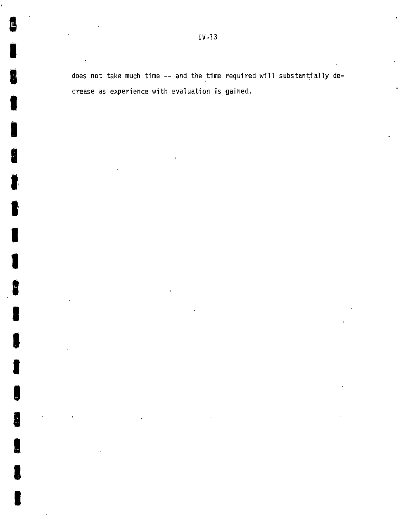does not take much time -- and the time required will substantially decrease as experience with evaluation is gained.

**g** 

**I** 

.<br>Ú

**I** 

**U** 

**I** 

**I** 

**I** 

**I** 

e.<br>E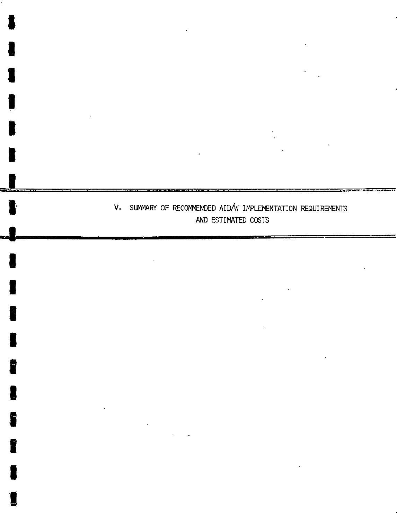## V. SUMMARY OF RECOMMENDED AID/W IMPLEMENTATION REQUIREMENTS AND ESTIMATED COSTS

**I** 

 $\mathbb{C}$ 

**I** 

**I** 

**I** 

**U** 

**I**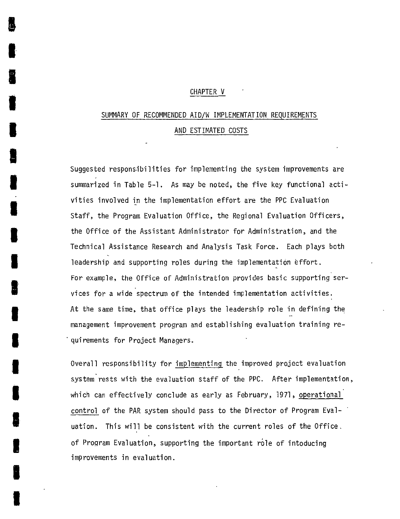#### CHAPTER V

## SUMMARY OF **RECOMMENDED** AID/W IMPLEMENTATION REQUIREMENTS **AND** ESTIMATED **COSTS**

Suggested responsibilities for implementing the system improvements are summarized in Table **5-1.** As may be noted, the five key functional activities involved in the implementation effort are the PPC Evaluation Staff, the Program Evaluation Office, the Regional Evaluation Officers, the Office of the Assistant Administrator for Administration, and the Technical Assistance Research and Analysis Task Force. Each plays both leadership and supporting roles during the implementation effort. For example, the Office of Administration provides basic supporting services for a wide spectrum of the intended implementation activities. At the same time, that office plays the leadership role in defining the management improvement program and establishing evaluation training requirements for Project Managers.

I

Overall responsibility for implementing the improved project evaluation system rests with the evaluation staff of the PPC. After implementation, which can effectively conclude as early as February, **1971,** operational control of the PAR system should pass to the Director of Program Eval- **U.** uation. This will be consistent with the current roles of the Office. of Program Evaluation, supporting the important role of intoducing improvements in evaluation.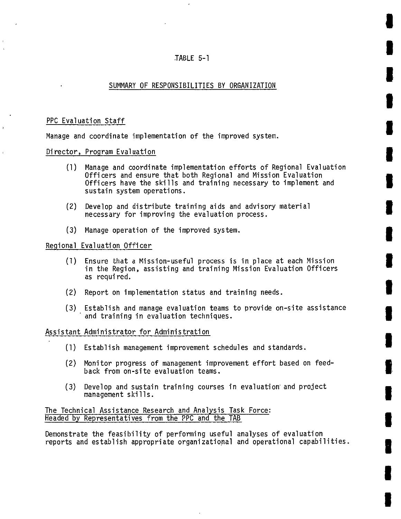#### TABLE **5-1**

#### SUMMARY OF RESPONSIBILITIES BY ORGANIZATION

### PPC Evaluation Staff

Manage and coordinate implementation of the improved system.

Director, Program Evaluation

- **(1)**  Manage and coordinate implementation efforts of Regional Evaluation Officers and ensure that both Regional and Mission Evaluation Officers have the skills and training necessary to implement and sustain system operations.
- (2) Develop and distribute training aids and advisory material necessary for improving the evaluation process.
- **(3)** Manage operation of the improved system.

Regional Evaluation Officer

- **(1)** Ensure that a Mission-useful process is in place at each Mission in the Region, assisting and training Mission Evaluation Officers as required.
- (2) Report on implementation status and training needs.
- **(3)** Establish and manage evaluation teams to provide on-site assistance and training in evaluation techniques.

Assistant Administrator for Administration

- **(1)** Establish management improvement schedules and standards.
- (2) Monitor progress of management improvement effort based on feedback from on-site evaluation teams.
- **(3)** Develop and sustain training courses in evaluation'and project management skills.

The Technical Assistance Research and Analysis Task Force: Headed **by** Representatives from the PPC and the TAB

Demonstrate the feasibility of performing useful analyses of evaluation reports and establish appropriate organizational and operational capabilities.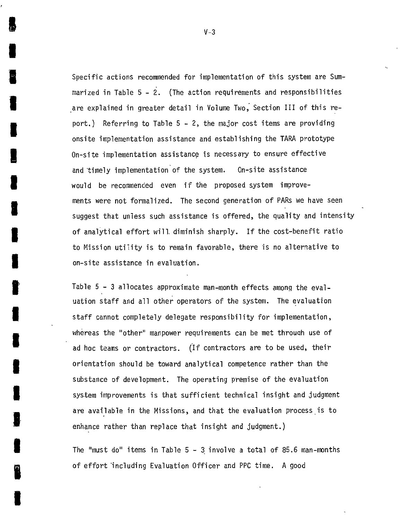Specific actions recommended for implementation of this system are Summarized in Table **5 -** 2. (The action requirements and responsibilities are explained in greater detail in Volume Two, Section III of this report.) Referring to Table **5 -** 2, the major cost items are providing onsite implementation assistance and establishing the TARA prototype On-site implementation assistance is necessary to ensure effective and 'timely implementation of the system. On-site assistance would be recommended even if the proposed system improvements were not formalized. The second generation of PARs we have seen suggest that unless such assistance is offered, the quality and intensity of analytical effort will, diminish sharply. Ifthe cost-benefit ratio to Mission utility is to remain favorable, there is no alternative to on-site assistance in evaluation.

Table **5 - 3** allocates approximate man-month effects among the evaluation staff and all other operators of the system. The evaluation staff cannot completely delegate responsibility for implementation, whereas the "other" manpower requirements can be met through use of ad hoc teams or contractors. (If contractors are to be used, their orientation should be toward analytical competence rather than the substance of development. The operating premise of the evaluation system improvements is that sufficient technical insight and judgment are available in the Missions, and that the evaluation process is to enhance rather than replace that insight and judgment.)

The "must do" items inTable **5 - 3** involve a total of **85.6** man-months of effort including Evaluation Officer and PPC time. **A** good

 $V-3$ 

**I** 

I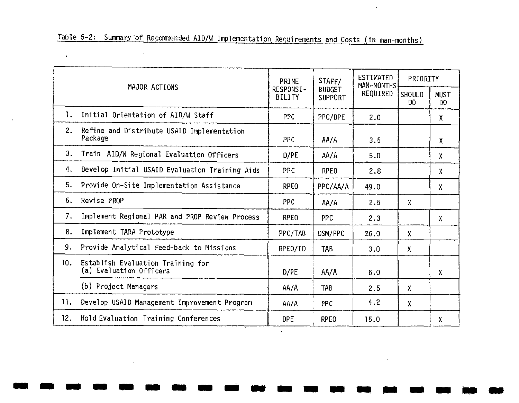|     | MAJOR ACTIONS                                                | PRIME                      | STAFF/                          | <b>ESTIMATED</b><br>MAN-MONTHS | PRIORITY             |                               |  |
|-----|--------------------------------------------------------------|----------------------------|---------------------------------|--------------------------------|----------------------|-------------------------------|--|
|     |                                                              | RESPONSI-<br><b>BILITY</b> | <b>BUDGET</b><br><b>SUPPORT</b> | REQUIRED                       | <b>SHOULD</b><br>DO. | <b>MUST</b><br>D <sub>0</sub> |  |
| 1.  | Initial Orientation of AID/W Staff                           | <b>PPC</b>                 | PPC/DPE                         | 2.0                            |                      | χ                             |  |
| 2.  | Refine and Distribute USAID Implementation<br>Package        | <b>PPC</b>                 | AA/A                            | 3.5                            |                      | χ                             |  |
| 3.  | Train AID/W Regional Evaluation Officers                     | D/PE                       | AA/A                            | 5.0                            |                      | Χ                             |  |
| 4.  | Develop Initial USAID Evaluation Training Aids               | PPC                        | <b>RPEO</b>                     | 2.8                            |                      | X.                            |  |
| 5.  | Provide On-Site Implementation Assistance                    | RPE <sub>0</sub>           | PPC/AA/A                        | 49.0                           |                      | X                             |  |
| 6.  | Revise PROP                                                  | <b>PPC</b>                 | AA/A                            | 2.5                            | $\mathsf{X}$         |                               |  |
| 7.  | Implement Regional PAR and PROP Review Process               | <b>RPEO</b>                | <b>PPC</b>                      | 2.3                            |                      | X                             |  |
| 8.  | Implement TARA Prototype                                     | PPC/TAB                    | DSM/PPC                         | 26.0                           | $\mathsf{X}$         |                               |  |
| 9.  | Provide Analytical Feed-back to Missions                     | RPEO/ID                    | <b>TAB</b>                      | 3.0                            | $\mathbf{x}$         |                               |  |
| 10. | Establish Evaluation Training for<br>(a) Evaluation Officers | D/PE                       | AA/A                            | 6.0                            |                      | X.                            |  |
|     | (b) Project Managers                                         | AA/A                       | TAB                             | 2.5                            | χ                    |                               |  |
| 11. | Develop USAID Management Improvement Program                 | AA/A                       | PPC                             | 4.2                            | X                    |                               |  |
| 12. | Hold Evaluation Training Conferences                         | <b>DPE</b>                 | RPE <sub>0</sub>                | 15.0                           |                      | X                             |  |
|     |                                                              |                            |                                 |                                |                      |                               |  |

**m mmmm-Mmm-m mmea** 

Table 5-2: Summary of Recommended AID/W Implementation Requirements and Costs (in man-months)

 $\label{eq:2.1} \frac{1}{\sqrt{2\pi}}\int_{\mathbb{R}^3}\left|\frac{d\mathbf{x}}{d\mathbf{x}}\right|^2\,d\mathbf{x}^2\,d\mathbf{x}^2\,d\mathbf{x}^2\,d\mathbf{x}^2\,d\mathbf{x}^2\,d\mathbf{x}^2\,d\mathbf{x}^2\,d\mathbf{x}^2\,d\mathbf{x}^2\,d\mathbf{x}^2\,d\mathbf{x}^2\,d\mathbf{x}^2\,d\mathbf{x}^2\,d\mathbf{x}^2\,d\mathbf{x}^2\,d\mathbf{x}^2\,d\mathbf$ 

 $\mathcal{L}(\mathcal{L})$  and  $\mathcal{L}(\mathcal{L})$  and  $\mathcal{L}(\mathcal{L})$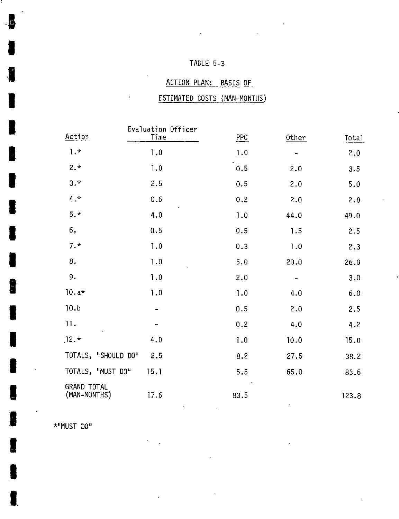## TABLE **5-3**

## ACTION **PLAN:** BASIS OF

## ESTIMATED **COSTS (MAN-MONTHS)**

| Action                             | Evaluation Officer<br>Time | <b>PPC</b> | 0ther | <b>Total</b> |
|------------------------------------|----------------------------|------------|-------|--------------|
| $1.$ *                             | 1.0                        | 1.0        |       | 2.0          |
| $2.*$                              | 1.0                        | 0.5        | 2.0   | 3.5          |
| $3. *$                             | 2.5                        | 0.5        | 2.0   | 5.0          |
| $4.*$                              | 0.6                        | 0.2        | 2.0   | 2.8          |
| $5. *$                             | 4.0                        | 1.0        | 44.0  | 49.0         |
| 6,                                 | 0.5                        | 0.5        | 1.5   | 2.5          |
| $7. *$                             | 1.0                        | 0.3        | 1.0   | 2.3          |
| 8.                                 | 1.0                        | 5.0        | 20.0  | 26.0         |
| 9.                                 | 1.0                        | 2.0        |       | 3.0          |
| $10.a*$                            | 1.0                        | 1.0        | 4.0   | 6.0          |
| 10.b                               |                            | 0.5        | 2.0   | 2.5          |
| 11.                                |                            | 0.2        | 4.0   | 4.2          |
| $12.*$                             | 4.0                        | 1.0        | 10.0  | 15.0         |
| TOTALS, "SHOULD DO"                | 2.5                        | 8.2        | 27.5  | 38.2         |
| TOTALS, "MUST DO"                  | 15.1                       | 5.5        | 65.0  | 85.6         |
| <b>GRAND TOTAL</b><br>(MAN-MONTHS) | 17.6                       | 83.5       |       | 123.8        |

**\*IIMUST DO"**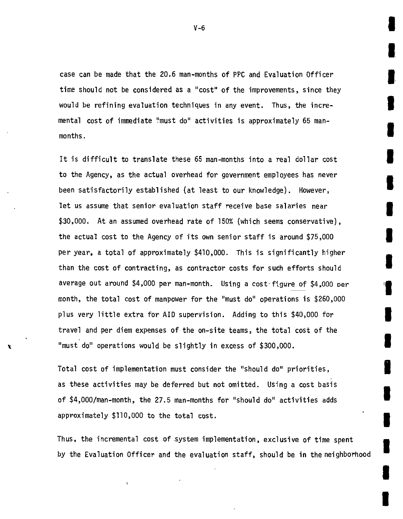case can be made that the **20.6** man-months of PPC and Evaluation Officer time should not be considered as a "cost" of the improvements, since they would be refining evaluation techniques in any event. Thus, the incremental cost of immediate 'must do" activities is approximately **<sup>65</sup>**manmonths.

It is difficult to translate these **65** man-months into a real dollar cost to the Agency, as the actual overhead for government employees has never been satisfactorily established (at least to our knowledge). However, let us assume that senior evaluation staff receive base salaries near **\$30,000.** At an assumed overhead rate of **150%** (which seems conservative), the actual cost to the Agency of its own senior staff is around **\$75,000** per year, a total of approximately \$410,000. This is significantly higher than the cost of contracting, as contractor costs for such efforts should average out around \$4,000 per man-month. Using a cost-figure of \$4,000 Der month, the total cost of manpower for the "must do" operations is **\$260,000**  plus very little extra for AID supervision. Adding to this \$40,000 for travel and per diem expenses of the on-site teams, the total cost of the "must do" operations would be slightly in excess of **\$300,000.** 

Total cost of implementation must consider the "should do" priorities, as these activities may be deferred but not omitted. Using a cost basis of \$4,000/man-month, the **27.5** man-months for "should do" activities adds approximately **\$110,000** to the total cost.

 $\mathbf{I}$ 

Thus, the incremental cost of system implementation, exclusive of time spent **by** the Evaluation Officer and the evaluation staff, should be in the neighborhood

**I** 

**V-6**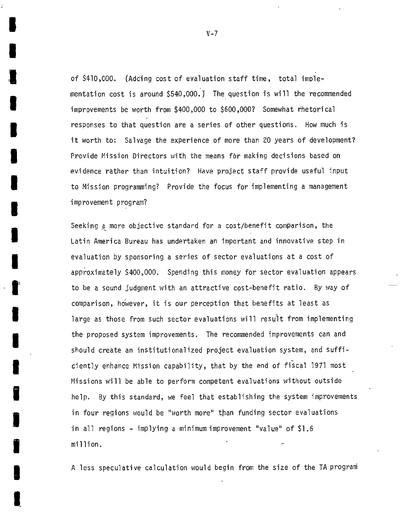of \$410,000. (Adding cost of evaluation staff time, total imolementation cost is around  $$540,000$ .) The question is will the recommended **I**  improvements be worth from \$400,000 to **\$600,000?** Somewhat rhetorical responses to that question are a series of other questions. How much is it worth to: Salvage the experience of more than 20 years of development? Provide Mission Directors with the means for making decisions based on evidence rather than intuition? Have project staff provide useful input to Mission programming? Provide the focus for implementing a management improvement program?

Seeking **a** more objective standard for a cost/benefit comparison, the Latin America Bureau has undertaken an important and innovative step in evaluation **by** sponsoring a series of sector evaluations at a cost of approximately S400,000. Spending this money for sector evaluation appears to be a sound judgment with an attractive cost-benefit ratio. **By** way of comparison, however, it is our perception that benefits at least as large as those from such sector evaluations will result from implementing the proposed system improvements. The recommended improvements can and should create an institutionalized project evaluation system, and sufficiently enhance Mission capability, that **by** the end of fiscal **1971** most Missions will be able to perform competent evaluations without outside help. **By** this standard, we feel that establishing the system improvements in four regions would be "worth more" than funding sector evaluations in all regions **-** implying a minimum improvement "value" of **\$1.6**  million.

11 **A** less speculative calculation would begin from the size of the **TA** program

**V-7** 

**I**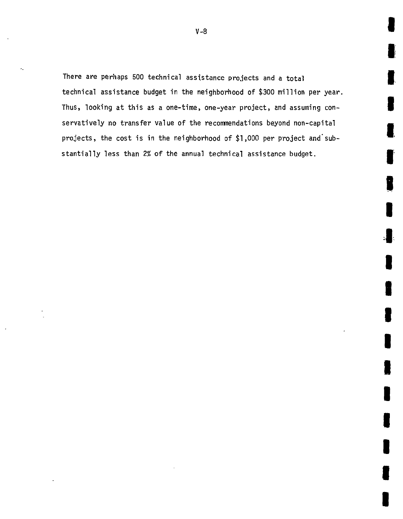There are perhaps **500** technical assistance projects and a total technical assistance budget in the neighborhood of **\$300** million per year. Thus, looking at this as a one-time, one-year project, and assuming conservatively no transfer value of the recommendations beyond non-capital projects, the cost is in the neighborhood of \$1,000 per project and substantially less than 2% of the annual technical assistance budget.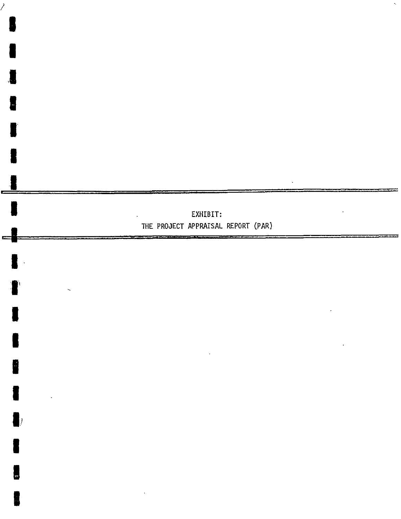

**I** 

 $\sum_{i=1}^{n}$ 

**I** 

**I** 

**I** 

**U** 

**I** 

a<br>A

**U** 

I

**I**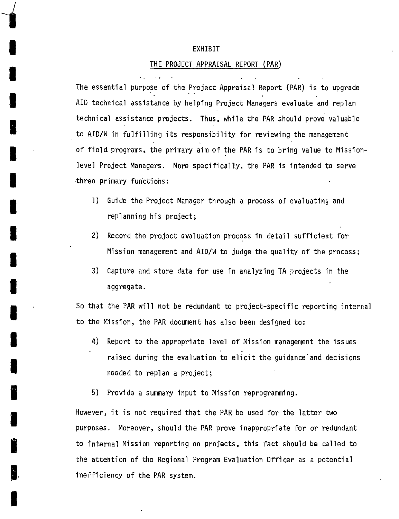#### EXHIBIT

#### THE **PROJECT** APPRAISAL REPORT (PAR)

The essential purpose of the Project Appraisal Report (PAR) is to upgrade AID technical assistance **by** helping Project Managers evaluate and replan technical assistance projects. Thus, while the PAR should prove valuable II II II ISLAMS AND MILLING TO AID/W in fulfilling its responsibility for reviewing the management **of** field programs, the primary aim of the PAR is to bring value to Missionlevel Project Managers. More specifically, the PAR is intended to serve three primary functions:

- 1) Guide the Project Manager through a process of evaluating and replanning his project;
- 2) Record the project evaluation process in detail sufficient for Mission management and AID/W to judge the quality of the process;
- **3)** Capture and store data for use in analyzing **TA** projects in the aggregate.

**U.** So that the PAR will not be redundant to project-specific reporting internal to the Mission, the PAR document has also been designed to:

- 4) Report to the appropriate level of Mission management the issues raised during the evaluation to elicit the guidance and decisions needed to replan a project;
- **5)** Provide a summary input to Mission reprogramming.

**g** However, it is not required that the PAR be used for the latter two purposes. Moreover, should the PAR prove inappropriate for or redundant to internal Mission reporting on projects, this fact should be called to the attention of the Regional Program Evaluation Officer as a potential **3,** inefficiency of the PAR system.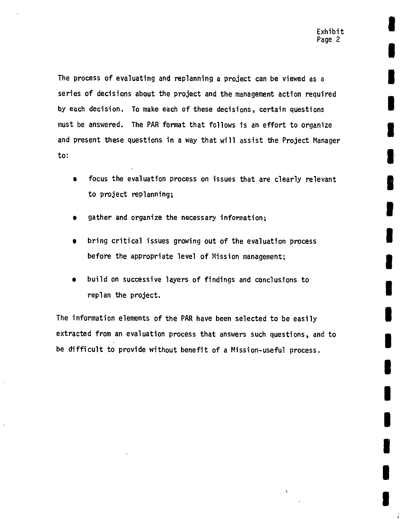**I** 

**U**

**U**

**I** 

**U** 

**I** 

' **I** 

 $\lambda$ 

The process of evaluating and replanning a project can be viewed as a series of decisions about the project and the management action required **by** each decision. To make each of these decisions, certain questions must be answered. The PAR format that follows is an effort to organize and present these questions in a way that will assist the Project Manager to:

- focus the evaluation process on issues that are clearly relevant to project replanning;
- gather and organize the necessary information;
- bring critical issues growing out of the evaluation process before the appropriate level of Mission management;
- build on successive layers of findings and conclusions to replan the project.

The information elements of the PAR have been selected to be easily extracted from an evaluation process that answers such questions, and to be difficult to provide without benefit of a Mission-useful process.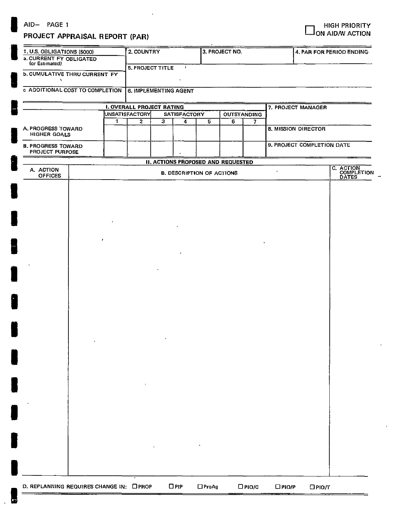# AID-<br>**PROJECT ADDRAISAL BEDORT (BAD)**<br>PROJECT ADDRAISAL BEDORT (BAD)

## **PROJECT APPRAISAL REPORT (PAR)**

| 1. U.S. OBLIGATIONS (\$000)<br>a. CURRENT FY OBLIGATED |  |         | 2. COUNTRY                       |                         |                          |                                  | 3. PROJECT NO.                            |           | 4. PAR FOR PERIOD ENDING |                            |                                  |  |  |  |  |
|--------------------------------------------------------|--|---------|----------------------------------|-------------------------|--------------------------|----------------------------------|-------------------------------------------|-----------|--------------------------|----------------------------|----------------------------------|--|--|--|--|
|                                                        |  |         |                                  |                         |                          |                                  |                                           |           |                          |                            |                                  |  |  |  |  |
| (or Estimated)                                         |  |         | <b>5. PROJECT TITLE</b>          |                         | $\mathbf{r}$             |                                  |                                           |           |                          |                            |                                  |  |  |  |  |
| <b>b. CUMULATIVE THRU CURRENT FY</b>                   |  |         |                                  |                         |                          |                                  |                                           |           |                          |                            |                                  |  |  |  |  |
| $\mathbf{v}$                                           |  |         |                                  |                         |                          |                                  |                                           |           |                          |                            |                                  |  |  |  |  |
| c ADDITIONAL COST TO COMPLETION                        |  |         | <b>6. IMPLEMENTING AGENT</b>     |                         |                          |                                  |                                           |           |                          |                            |                                  |  |  |  |  |
|                                                        |  |         |                                  |                         |                          |                                  |                                           |           |                          |                            |                                  |  |  |  |  |
|                                                        |  |         | <b>I. OVERALL PROJECT RATING</b> |                         |                          |                                  |                                           |           |                          | 7. PROJECT MANAGER         |                                  |  |  |  |  |
|                                                        |  | 1       | UNSATISFACTORY<br>$\overline{2}$ | $\overline{\mathbf{3}}$ | <b>SATISFACTORY</b><br>4 | $\overline{5}$                   | <b>OUTSTANDING</b><br>6                   |           |                          |                            |                                  |  |  |  |  |
| A. PROGRESS TOWARD                                     |  |         | $\overline{7}$                   |                         |                          |                                  |                                           |           |                          | 8. MISSION DIRECTOR        |                                  |  |  |  |  |
| HIGHER GOALS                                           |  |         |                                  |                         |                          |                                  |                                           |           |                          |                            |                                  |  |  |  |  |
| <b>B. PROGRESS TOWARD</b>                              |  |         |                                  |                         |                          |                                  |                                           |           |                          | 9. PROJECT COMPLETION DATE |                                  |  |  |  |  |
| PROJECT PURPOSE                                        |  |         |                                  |                         |                          |                                  |                                           |           |                          |                            |                                  |  |  |  |  |
|                                                        |  |         |                                  |                         |                          |                                  | <b>II. ACTIONS PROPOSED AND REQUESTED</b> |           |                          |                            |                                  |  |  |  |  |
| A. ACTION                                              |  |         |                                  |                         |                          |                                  |                                           |           |                          |                            | C. ACTION<br>COMPLETION<br>DATES |  |  |  |  |
| <b>OFFICES</b>                                         |  |         |                                  |                         |                          | <b>B. DESCRIPTION OF ACTIONS</b> |                                           |           |                          |                            |                                  |  |  |  |  |
|                                                        |  |         |                                  |                         |                          |                                  |                                           |           |                          |                            |                                  |  |  |  |  |
|                                                        |  |         |                                  |                         |                          |                                  |                                           |           |                          |                            |                                  |  |  |  |  |
|                                                        |  |         |                                  |                         |                          |                                  |                                           |           |                          |                            |                                  |  |  |  |  |
|                                                        |  |         |                                  |                         |                          |                                  |                                           |           |                          |                            |                                  |  |  |  |  |
|                                                        |  |         |                                  |                         |                          |                                  |                                           |           |                          |                            |                                  |  |  |  |  |
|                                                        |  |         |                                  |                         |                          |                                  |                                           |           |                          |                            |                                  |  |  |  |  |
|                                                        |  |         |                                  |                         |                          |                                  |                                           |           |                          |                            |                                  |  |  |  |  |
|                                                        |  |         |                                  |                         |                          |                                  |                                           |           |                          |                            |                                  |  |  |  |  |
|                                                        |  | $\cdot$ |                                  |                         |                          |                                  |                                           |           |                          |                            |                                  |  |  |  |  |
|                                                        |  |         |                                  |                         |                          |                                  |                                           |           |                          |                            |                                  |  |  |  |  |
|                                                        |  |         |                                  |                         |                          |                                  |                                           |           |                          |                            |                                  |  |  |  |  |
|                                                        |  |         |                                  |                         |                          |                                  |                                           |           |                          |                            |                                  |  |  |  |  |
|                                                        |  |         |                                  |                         |                          |                                  |                                           |           |                          |                            |                                  |  |  |  |  |
|                                                        |  |         |                                  |                         |                          |                                  |                                           |           |                          |                            |                                  |  |  |  |  |
|                                                        |  |         |                                  |                         |                          |                                  |                                           |           |                          |                            |                                  |  |  |  |  |
|                                                        |  |         |                                  |                         |                          |                                  |                                           |           |                          |                            |                                  |  |  |  |  |
|                                                        |  |         |                                  |                         |                          |                                  |                                           |           |                          |                            |                                  |  |  |  |  |
|                                                        |  |         |                                  |                         |                          |                                  |                                           |           |                          |                            |                                  |  |  |  |  |
|                                                        |  |         |                                  |                         |                          |                                  |                                           |           |                          |                            |                                  |  |  |  |  |
|                                                        |  |         |                                  |                         |                          |                                  |                                           |           |                          |                            |                                  |  |  |  |  |
|                                                        |  |         |                                  |                         |                          |                                  |                                           |           |                          |                            |                                  |  |  |  |  |
|                                                        |  |         |                                  |                         |                          |                                  |                                           |           |                          |                            |                                  |  |  |  |  |
|                                                        |  |         |                                  | $\bullet$               |                          |                                  |                                           |           |                          |                            |                                  |  |  |  |  |
|                                                        |  |         |                                  |                         |                          |                                  |                                           |           |                          |                            |                                  |  |  |  |  |
|                                                        |  |         |                                  |                         |                          |                                  |                                           |           |                          |                            |                                  |  |  |  |  |
|                                                        |  |         |                                  |                         |                          |                                  |                                           |           |                          |                            |                                  |  |  |  |  |
|                                                        |  |         |                                  |                         |                          |                                  |                                           |           |                          |                            |                                  |  |  |  |  |
|                                                        |  |         |                                  |                         |                          |                                  |                                           |           |                          |                            |                                  |  |  |  |  |
|                                                        |  |         |                                  |                         |                          |                                  |                                           |           |                          |                            |                                  |  |  |  |  |
|                                                        |  |         |                                  |                         |                          |                                  |                                           |           |                          |                            |                                  |  |  |  |  |
|                                                        |  |         |                                  |                         |                          |                                  |                                           |           |                          |                            |                                  |  |  |  |  |
|                                                        |  |         |                                  |                         |                          |                                  |                                           |           |                          |                            |                                  |  |  |  |  |
|                                                        |  |         |                                  |                         |                          |                                  |                                           |           |                          |                            |                                  |  |  |  |  |
|                                                        |  |         |                                  |                         |                          |                                  |                                           |           |                          |                            |                                  |  |  |  |  |
|                                                        |  |         |                                  |                         |                          |                                  |                                           |           |                          |                            |                                  |  |  |  |  |
|                                                        |  |         |                                  |                         |                          |                                  |                                           |           |                          |                            |                                  |  |  |  |  |
|                                                        |  |         |                                  |                         |                          |                                  |                                           |           |                          |                            |                                  |  |  |  |  |
|                                                        |  |         |                                  |                         |                          |                                  |                                           |           |                          |                            |                                  |  |  |  |  |
|                                                        |  |         |                                  |                         |                          |                                  |                                           |           |                          |                            |                                  |  |  |  |  |
|                                                        |  |         |                                  |                         |                          |                                  |                                           |           |                          |                            |                                  |  |  |  |  |
|                                                        |  |         |                                  |                         |                          |                                  |                                           |           |                          |                            |                                  |  |  |  |  |
|                                                        |  |         |                                  |                         |                          |                                  |                                           |           |                          |                            |                                  |  |  |  |  |
|                                                        |  |         |                                  |                         |                          |                                  |                                           |           |                          |                            |                                  |  |  |  |  |
| D. REPLANNING REQUIRES CHANGE IN: OPROP                |  |         |                                  |                         | $\Box$ PIP               | $\Box$ ProAg                     |                                           | $D$ PIO/C | $D$ PIO/P                | $D$ PIO/T                  |                                  |  |  |  |  |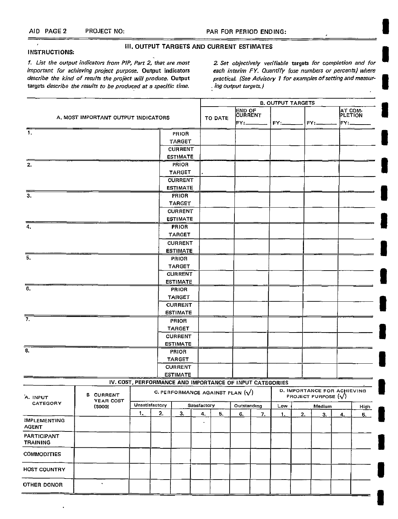**III. OUTPUT** TARGETS **AND** CURRENT **ESTIMATES** 

#### **INSTRUCTIONS:**

 $=$  $\overline{1}$ 

1. List the output indicators from PIP, Part 2, that are most targets describe the results to be produced at a specific time. describe the kind of results the project will produce. Output

2. Set objectively verifiable targets for completion and for important for achieving project purpose. Output indicators each interim FY. Quantify (use numbers or percents) where practical. (See Advisory **I** for examples **of**setting and measuring Output targets.]  $\mathbf{r}$ 

|                                       |                                                          |    |                |                          |                    | <b>B. OUTPUT TARGETS</b> |                                                        |    |        |                                                          |        |                            |      |  |
|---------------------------------------|----------------------------------------------------------|----|----------------|--------------------------|--------------------|--------------------------|--------------------------------------------------------|----|--------|----------------------------------------------------------|--------|----------------------------|------|--|
|                                       | A. MOST IMPORTANT OUTPUT INDICATORS                      |    |                |                          |                    | <b>TO DATE</b>           | END OF<br>FY:                                          |    | $FY =$ |                                                          | FY:    | AT COM-<br>PLETION<br>FY:. |      |  |
| -1.                                   |                                                          |    |                |                          |                    |                          |                                                        |    |        |                                                          |        |                            |      |  |
|                                       |                                                          |    | PRIOR          |                          |                    |                          |                                                        |    |        |                                                          |        |                            |      |  |
|                                       |                                                          |    |                | TARGET<br><b>CURRENT</b> |                    |                          |                                                        |    |        |                                                          |        |                            |      |  |
|                                       |                                                          |    |                | <b>ESTIMATE</b>          |                    |                          |                                                        |    |        |                                                          |        |                            |      |  |
| 2.                                    |                                                          |    |                | PRIOR                    |                    |                          |                                                        |    |        |                                                          |        |                            |      |  |
|                                       |                                                          |    |                | <b>TARGET</b>            |                    |                          |                                                        |    |        |                                                          |        |                            |      |  |
|                                       |                                                          |    |                | <b>CURRENT</b>           |                    |                          |                                                        |    |        |                                                          |        |                            |      |  |
|                                       |                                                          |    |                | <b>ESTIMATE</b>          |                    |                          |                                                        |    |        |                                                          |        |                            |      |  |
| З.                                    |                                                          |    |                | PRIOR                    |                    |                          |                                                        |    |        |                                                          |        |                            |      |  |
|                                       |                                                          |    |                | TARGET                   |                    |                          |                                                        |    |        |                                                          |        |                            |      |  |
|                                       |                                                          |    |                | <b>CURRENT</b>           |                    |                          |                                                        |    |        |                                                          |        |                            |      |  |
|                                       |                                                          |    |                | <b>ESTIMATE</b>          |                    |                          |                                                        |    |        |                                                          |        |                            |      |  |
| 4.                                    |                                                          |    |                | <b>PRIOR</b>             |                    |                          |                                                        |    |        |                                                          |        |                            |      |  |
|                                       |                                                          |    |                | TARGET                   |                    |                          |                                                        |    |        |                                                          |        |                            |      |  |
|                                       |                                                          |    |                | <b>CURRENT</b>           |                    |                          |                                                        |    |        |                                                          |        |                            |      |  |
|                                       |                                                          |    |                | <b>ESTIMATE</b>          |                    |                          |                                                        |    |        |                                                          |        |                            |      |  |
| 5.                                    |                                                          |    |                | PRIOR                    |                    |                          |                                                        |    |        |                                                          |        |                            |      |  |
|                                       |                                                          |    |                | <b>TARGET</b>            |                    |                          |                                                        |    |        |                                                          |        |                            |      |  |
|                                       |                                                          |    |                | <b>CURRENT</b>           |                    |                          |                                                        |    |        |                                                          |        |                            |      |  |
|                                       |                                                          |    |                | <b>ESTIMATE</b>          |                    |                          |                                                        |    |        |                                                          |        |                            |      |  |
| $\overline{6}$ .                      |                                                          |    |                | <b>PRIOR</b>             |                    |                          |                                                        |    |        |                                                          |        |                            |      |  |
|                                       |                                                          |    |                | <b>TARGET</b>            |                    |                          |                                                        |    |        |                                                          |        |                            |      |  |
|                                       |                                                          |    |                | <b>CURRENT</b>           |                    |                          |                                                        |    |        |                                                          |        |                            |      |  |
|                                       |                                                          |    |                | <b>ESTIMATE</b>          |                    |                          |                                                        |    |        |                                                          |        |                            |      |  |
| 7.                                    |                                                          |    |                | PRIOR                    |                    |                          |                                                        |    |        |                                                          |        |                            |      |  |
|                                       |                                                          |    |                | <b>TARGET</b>            |                    |                          |                                                        |    |        |                                                          |        |                            |      |  |
|                                       |                                                          |    |                | <b>CURRENT</b>           |                    |                          |                                                        |    |        |                                                          |        |                            |      |  |
|                                       |                                                          |    |                | <b>ESTIMATE</b>          |                    |                          |                                                        |    |        |                                                          |        |                            |      |  |
| $\overline{8}$                        |                                                          |    |                | PRIOR                    |                    |                          |                                                        |    |        |                                                          |        |                            |      |  |
|                                       |                                                          |    |                | <b>TARGET</b>            |                    |                          |                                                        |    |        |                                                          |        |                            |      |  |
|                                       |                                                          |    |                | <b>CURRENT</b>           |                    |                          |                                                        |    |        |                                                          |        |                            |      |  |
|                                       |                                                          |    |                | <b>ESTIMATE</b>          |                    |                          |                                                        |    |        |                                                          |        |                            |      |  |
|                                       | IV. COST, PERFORMANCE AND IMPORTANCE OF INPUT CATEGORIES |    |                |                          |                    |                          |                                                        |    |        |                                                          |        |                            |      |  |
| <b>B CURRENT</b><br>A. INPUT          |                                                          |    |                |                          |                    |                          | C. PERFORMANCE AGAINST PLAN $\langle \sqrt{\ }\rangle$ |    |        | D. IMPORTANCE FOR ACHIEVING<br>PROJECT PURPOSE $(\sqrt)$ |        |                            |      |  |
| YEAR COST<br>CATEGORY                 |                                                          |    | Unsatisfactory |                          |                    |                          |                                                        |    |        |                                                          |        |                            |      |  |
| (5000)                                |                                                          | 1. | 2.             | 3.                       | Satisfactory<br>4. | 5.                       | Outstanding<br>6.                                      |    | Low    |                                                          | Medium |                            | High |  |
| <b>IMPLEMENTING</b><br><b>AGENT</b>   |                                                          |    |                |                          |                    |                          |                                                        | 7, | 1.     | 2.                                                       | 3.     | 4.                         | 5.   |  |
| <b>PARTICIPANT</b><br><b>TRAINING</b> |                                                          |    |                |                          |                    |                          |                                                        |    |        |                                                          |        |                            |      |  |
| <b>COMMODITIES</b>                    |                                                          |    |                |                          |                    |                          |                                                        |    |        |                                                          |        |                            |      |  |
| <b>HOST COUNTRY</b>                   |                                                          |    |                |                          |                    |                          |                                                        |    |        |                                                          |        |                            |      |  |
| $\hat{\mathbf{r}}$<br>OTHER DONOR     |                                                          |    |                |                          |                    |                          |                                                        |    |        |                                                          |        |                            |      |  |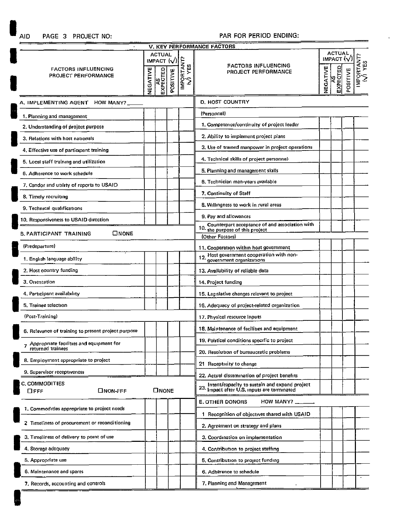**AID** 

## **PAGE 3 PROJECT NO:** PAR FOR PERIOD **ENDING:**

|                                                               |          |                                                               |                                                                                   |             | V. KEY PERFORMANCE FACTORS                                                                       |  |                                                                     |          |                                            |
|---------------------------------------------------------------|----------|---------------------------------------------------------------|-----------------------------------------------------------------------------------|-------------|--------------------------------------------------------------------------------------------------|--|---------------------------------------------------------------------|----------|--------------------------------------------|
| <b>FACTORS INFLUENCING</b><br>PROJECT PERFORMANCE             | VEGATIVE | <b>ACTUAL</b><br>IMPACT $\langle \sqrt{} \rangle$<br>EXPECTED | <b>POSITIVE</b>                                                                   | IMPORTANT?  | <b>FACTORS INFLUENCING</b><br>PROJECT PERFORMANCE                                                |  | <b>ACTUAL</b><br>IMPACT $\langle \sqrt{} \rangle$<br>AS<br>EXPECTED | POSITIVE | IMPORTANT?<br>$\overleftrightarrow{M}$ YES |
| A. IMPLEMENTING AGENT HOW MANY?                               |          |                                                               | <b>D. HOST COUNTRY</b>                                                            |             |                                                                                                  |  |                                                                     |          |                                            |
| 1. Planning and management                                    |          |                                                               |                                                                                   | (Personnel) |                                                                                                  |  |                                                                     |          |                                            |
| 2. Understanding of project purpose                           |          |                                                               |                                                                                   |             | 1. Competence/continuity of project leader                                                       |  |                                                                     |          |                                            |
| 3. Relations with host nationals                              |          |                                                               |                                                                                   |             | 2. Ability to implement project plans                                                            |  |                                                                     |          |                                            |
| 4. Effective use of participant training                      |          |                                                               |                                                                                   |             | 3. Use of trained manpower in project operations                                                 |  |                                                                     |          |                                            |
| 5. Local staff training and utilization                       |          |                                                               |                                                                                   |             | 4. Technical skills of project personnel-                                                        |  |                                                                     |          |                                            |
| 6. Adherence to work schedule                                 |          |                                                               |                                                                                   |             | 5. Planning and management skills                                                                |  |                                                                     |          |                                            |
| 7. Candor and utility of reports to USAID                     |          |                                                               |                                                                                   |             | 6. Technician man-years available                                                                |  |                                                                     |          |                                            |
| 8. Timely recruiting                                          |          |                                                               |                                                                                   |             | 7. Continuity of Staff                                                                           |  |                                                                     |          |                                            |
| 9. Technical qualifications                                   |          |                                                               |                                                                                   |             | 8. Willingness to work in rural areas                                                            |  |                                                                     |          |                                            |
| 10. Responsiveness to USAID direction                         |          |                                                               |                                                                                   |             | 9. Pay and allowances                                                                            |  |                                                                     |          |                                            |
| <b>ONONE</b><br><b>B. PARTICIPANT TRAINING</b>                |          |                                                               | Counterpart acceptance of and association with<br>10. the purpose of this project |             |                                                                                                  |  |                                                                     |          |                                            |
|                                                               |          |                                                               |                                                                                   |             | (Other Factors)                                                                                  |  |                                                                     |          |                                            |
| (Predeparture)                                                |          |                                                               |                                                                                   |             | 11, Cooperation within host government                                                           |  |                                                                     |          |                                            |
| 1. English language ability                                   |          |                                                               |                                                                                   |             | 12. Host government cooperation with non-<br>12. government organizations                        |  |                                                                     |          |                                            |
| 2. Host country funding                                       |          |                                                               |                                                                                   |             | 13. Availability of reliable data                                                                |  |                                                                     |          |                                            |
| 3. Orientation                                                |          |                                                               |                                                                                   |             | 14. Project funding                                                                              |  |                                                                     |          |                                            |
| 4. Participant availability                                   |          |                                                               |                                                                                   |             | 15. Legislative changes relevant to project                                                      |  |                                                                     |          |                                            |
| 5. Trainee selection                                          |          |                                                               |                                                                                   |             | 16. Adequacy of project-related organization                                                     |  |                                                                     |          |                                            |
| (Post-Training)                                               |          |                                                               | 17. Physical resource inputs                                                      |             |                                                                                                  |  |                                                                     |          |                                            |
| 6. Relevance of training to present project purpose           |          |                                                               |                                                                                   |             | 18. Maintenance of facilities and equipment                                                      |  |                                                                     |          |                                            |
| Appropriate facilities and equipment for<br>returned trainees |          |                                                               |                                                                                   |             | 19. Political conditions specific to project                                                     |  |                                                                     |          |                                            |
| 8. Employment appropriate to project                          |          |                                                               |                                                                                   |             | 20. Resolution of bureaucratic problems                                                          |  |                                                                     |          |                                            |
| 9. Supervisor receptiveness                                   |          |                                                               |                                                                                   |             | 21 Receptivity to change                                                                         |  |                                                                     |          |                                            |
|                                                               |          |                                                               |                                                                                   |             | 22. Actual dissemination of project benefits                                                     |  |                                                                     |          |                                            |
| <b>C. COMMODITIES</b><br>□NON-FFF<br>⊔ғғғ                     |          | <b>ONONE</b>                                                  |                                                                                   |             | 23. Intent/capacity to sustain and expand project<br>23. impact after U.S. inputs are terminated |  |                                                                     |          |                                            |
|                                                               |          |                                                               |                                                                                   |             | <b>E. OTHER DONORS</b><br>HOW MANY?                                                              |  |                                                                     |          |                                            |
| 1. Commodities appropriate to project needs                   |          |                                                               |                                                                                   |             | 1 Recognition of objectives shared with USAID                                                    |  |                                                                     |          |                                            |
| 2 Timeliness of procurement or reconditioning                 |          |                                                               |                                                                                   |             | 2. Agreement on strategy and plans                                                               |  |                                                                     |          |                                            |
| 3. Timeliness of delivery to point of use                     |          |                                                               |                                                                                   |             | 3. Coordination on implementation                                                                |  |                                                                     |          |                                            |
| 4. Storage adequacy                                           |          |                                                               |                                                                                   |             | 4. Contribution to project staffing                                                              |  |                                                                     |          |                                            |
| 5. Appropriate use                                            |          |                                                               |                                                                                   |             | 5. Contribution to project funding                                                               |  |                                                                     |          |                                            |
| 6. Maintenance and spares                                     |          |                                                               |                                                                                   |             | 6. Adherence to schedule                                                                         |  |                                                                     |          |                                            |
| 7. Records, accounting and controls                           |          |                                                               |                                                                                   |             | 7. Planning and Management                                                                       |  |                                                                     |          |                                            |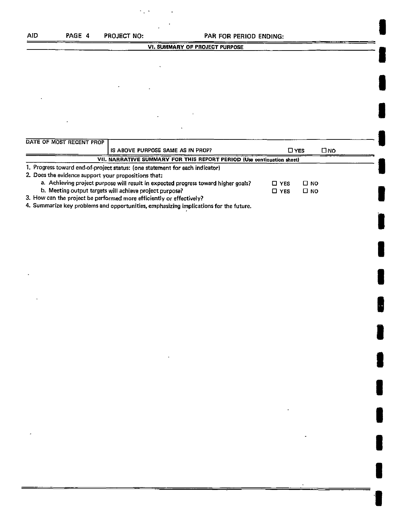| AID | PAGE 4 | <b>PROJECT NO:</b> | PAR FOR PERIOD ENDING:         |  |  |
|-----|--------|--------------------|--------------------------------|--|--|
|     |        |                    | VI. SUMMARY OF PROJECT PURPOSE |  |  |
|     |        |                    |                                |  |  |
|     |        |                    |                                |  |  |
|     |        |                    |                                |  |  |

| DATE OF MOST RECENT PROP                                                                                    |                                                                              |       |               |     |  |  |  |  |
|-------------------------------------------------------------------------------------------------------------|------------------------------------------------------------------------------|-------|---------------|-----|--|--|--|--|
|                                                                                                             | IS ABOVE PURPOSE SAME AS IN PROP?                                            |       | $\square$ YES | סא⊡ |  |  |  |  |
| VII. NARRATIVE SUMMARY FOR THIS REPORT PERIOD (Use continuation sheet)                                      |                                                                              |       |               |     |  |  |  |  |
|                                                                                                             | 1. Progress toward end-of-project status: (one statement for each indicator) |       |               |     |  |  |  |  |
| 2. Does the evidence support your propositions that:                                                        |                                                                              |       |               |     |  |  |  |  |
| a. Achieving project purpose will result in expected progress toward higher goals?<br>□ NO<br>$\square$ YES |                                                                              |       |               |     |  |  |  |  |
|                                                                                                             | b. Meeting output targets will achieve project purpose?                      | □ YES | י Ω ה         |     |  |  |  |  |
|                                                                                                             |                                                                              |       |               |     |  |  |  |  |

**3.** How can the project be performed more efficiently or effectively?

4. Summarize key problems and opportunities, emphasizing implications for the future.